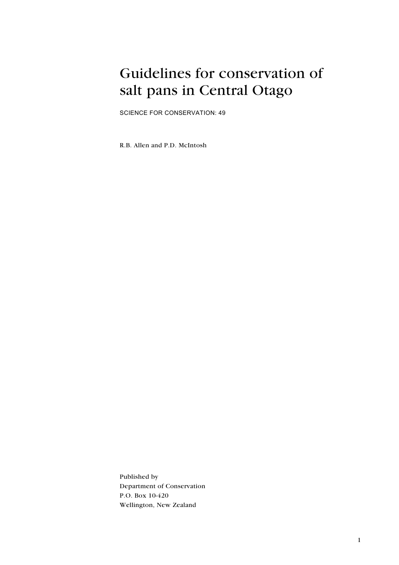## Guidelines for conservation of salt pans in Central Otago

SCIENCE FOR CONSERVATION: 49

R.B. Allen and P.D. McIntosh

Published by Department of Conservation P.O. Box 10-420 Wellington, New Zealand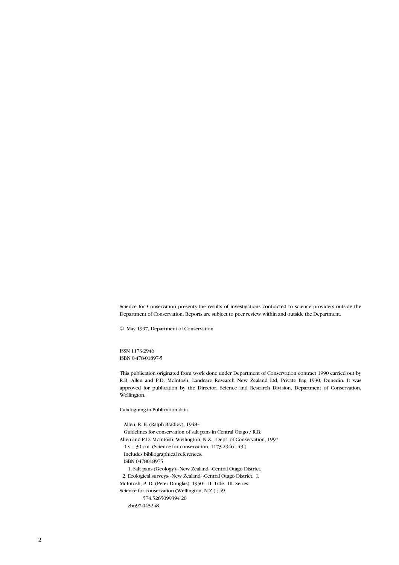Science for Conservation presents the results of investigations contracted to science providers outside the Department of Conservation. Reports are subject to peer review within and outside the Department.

 $@$  May 1997, Department of Conservation

ISSN 1173-2946 ISBN 0-478-01897-5

This publication originated from work done under Department of Conservation contract 1990 carried out by R.B. Allen and P.D. McIntosh, Landcare Research New Zealand Ltd, Private Bag 1930, Dunedin. It was approved for publication by the Director, Science and Research Division, Department of Conservation, Wellington.

Cataloguing-in-Publication data

 Allen, R. B. (Ralph Bradley), 1948– Guidelines for conservation of salt pans in Central Otago / R.B. Allen and P.D. McIntosh. Wellington, N.Z. : Dept. of Conservation, 1997. 1 v. ; 30 cm. (Science for conservation, 1173-2946 ; 49.) Includes bibliographical references. ISBN 0478018975 1. Salt pans (Geology)- -New Zealand- -Central Otago District. 2. Ecological surveys- -New Zealand- -Central Otago District. I. McIntosh, P. D. (Peter Douglas), 1950– II. Title. III. Series: Science for conservation (Wellington, N.Z.) ; 49. 574.5265099394 20 zbn97-045248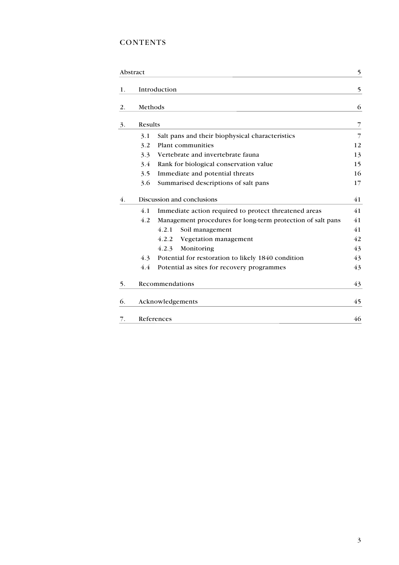### **CONTENTS**

|    | Abstract                                                           | 5              |
|----|--------------------------------------------------------------------|----------------|
| 1. | Introduction                                                       | 5              |
| 2. | Methods                                                            | 6              |
| 3. | Results                                                            | 7              |
|    | Salt pans and their biophysical characteristics<br>3.1             | $\overline{7}$ |
|    | Plant communities<br>3.2                                           | 12             |
|    | Vertebrate and invertebrate fauna<br>3.3                           | 13             |
|    | Rank for biological conservation value<br>3.4                      | 15             |
|    | Immediate and potential threats<br>3.5                             | 16             |
|    | Summarised descriptions of salt pans<br>3.6                        | 17             |
| 4. | Discussion and conclusions                                         | 41             |
|    | Immediate action required to protect threatened areas<br>4.1       | 41             |
|    | 4.2<br>Management procedures for long-term protection of salt pans | 41             |
|    | 4.2.1<br>Soil management                                           | 41             |
|    | 4.2.2<br>Vegetation management                                     | 42             |
|    | 4.2.3<br>Monitoring                                                | 43             |
|    | Potential for restoration to likely 1840 condition<br>4.3          | 43             |
|    | 4.4<br>Potential as sites for recovery programmes                  | 43             |
| 5. | Recommendations                                                    | 43             |
| 6. | Acknowledgements                                                   | 45             |
| 7. | References                                                         | 46             |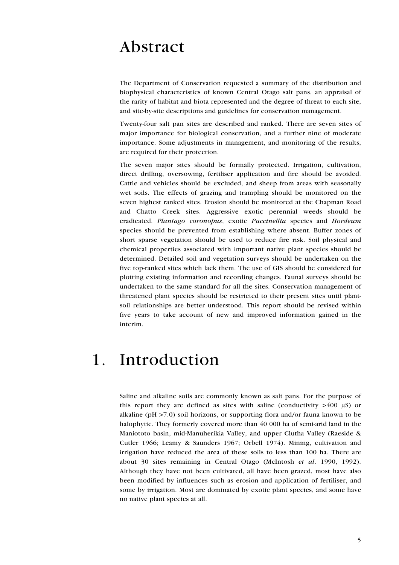## Abstract

The Department of Conservation requested a summary of the distribution and biophysical characteristics of known Central Otago salt pans, an appraisal of the rarity of habitat and biota represented and the degree of threat to each site, and site-by-site descriptions and guidelines for conservation management.

Twenty-four salt pan sites are described and ranked. There are seven sites of major importance for biological conservation, and a further nine of moderate importance. Some adjustments in management, and monitoring of the results, are required for their protection.

The seven major sites should be formally protected. Irrigation, cultivation, direct drilling, oversowing, fertiliser application and fire should be avoided. Cattle and vehicles should be excluded, and sheep from areas with seasonally wet soils. The effects of grazing and trampling should be monitored on the seven highest ranked sites. Erosion should be monitored at the Chapman Road and Chatto Creek sites. Aggressive exotic perennial weeds should be eradicated. *Plantago coronopus*, exotic *Puccinellia* species and *Hordeum* species should be prevented from establishing where absent. Buffer zones of short sparse vegetation should be used to reduce fire risk. Soil physical and chemical properties associated with important native plant species should be determined. Detailed soil and vegetation surveys should be undertaken on the five top-ranked sites which lack them. The use of GIS should be considered for plotting existing information and recording changes. Faunal surveys should be undertaken to the same standard for all the sites. Conservation management of threatened plant species should be restricted to their present sites until plantsoil relationships are better understood. This report should be revised within five years to take account of new and improved information gained in the interim.

## 1. Introduction

Saline and alkaline soils are commonly known as salt pans. For the purpose of this report they are defined as sites with saline (conductivity  $>400 \mu S$ ) or alkaline (pH >7.0) soil horizons, or supporting flora and/or fauna known to be halophytic. They formerly covered more than 40 000 ha of semi-arid land in the Maniototo basin, mid-Manuherikia Valley, and upper Clutha Valley (Raeside & Cutler 1966; Leamy & Saunders 1967; Orbell 1974). Mining, cultivation and irrigation have reduced the area of these soils to less than 100 ha. There are about 30 sites remaining in Central Otago (McIntosh *et al*. 1990, 1992). Although they have not been cultivated, all have been grazed, most have also been modified by influences such as erosion and application of fertiliser, and some by irrigation. Most are dominated by exotic plant species, and some have no native plant species at all.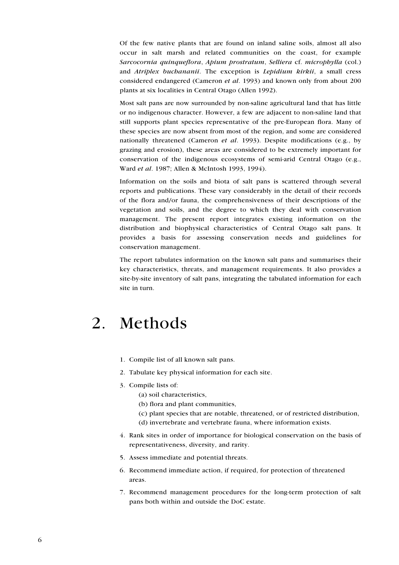Of the few native plants that are found on inland saline soils, almost all also occur in salt marsh and related communities on the coast, for example *Sarcocornia quinqueflora*, *Apium prostratum*, *Selliera* cf. *microphylla* (col.) and *Atriplex buchananii*. The exception is *Lepidium kirkii*, a small cress considered endangered (Cameron *et al*. 1993) and known only from about 200 plants at six localities in Central Otago (Allen 1992).

Most salt pans are now surrounded by non-saline agricultural land that has little or no indigenous character. However, a few are adjacent to non-saline land that still supports plant species representative of the pre-European flora. Many of these species are now absent from most of the region, and some are considered nationally threatened (Cameron *et al*. 1993). Despite modifications (e.g., by grazing and erosion), these areas are considered to be extremely important for conservation of the indigenous ecosystems of semi-arid Central Otago (e.g., Ward *et al*. 1987; Allen & McIntosh 1993, 1994).

Information on the soils and biota of salt pans is scattered through several reports and publications. These vary considerably in the detail of their records of the flora and/or fauna, the comprehensiveness of their descriptions of the vegetation and soils, and the degree to which they deal with conservation management. The present report integrates existing information on the distribution and biophysical characteristics of Central Otago salt pans. It provides a basis for assessing conservation needs and guidelines for conservation management.

The report tabulates information on the known salt pans and summarises their key characteristics, threats, and management requirements. It also provides a site-by-site inventory of salt pans, integrating the tabulated information for each site in turn.

## 2. Methods

- 1. Compile list of all known salt pans.
- 2. Tabulate key physical information for each site.
- 3. Compile lists of:
	- (a) soil characteristics,
	- (b) flora and plant communities,
	- (c) plant species that are notable, threatened, or of restricted distribution,
	- (d) invertebrate and vertebrate fauna, where information exists.
- 4. Rank sites in order of importance for biological conservation on the basis of representativeness, diversity, and rarity.
- 5. Assess immediate and potential threats.
- 6. Recommend immediate action, if required, for protection of threatened areas.
- 7. Recommend management procedures for the long-term protection of salt pans both within and outside the DoC estate.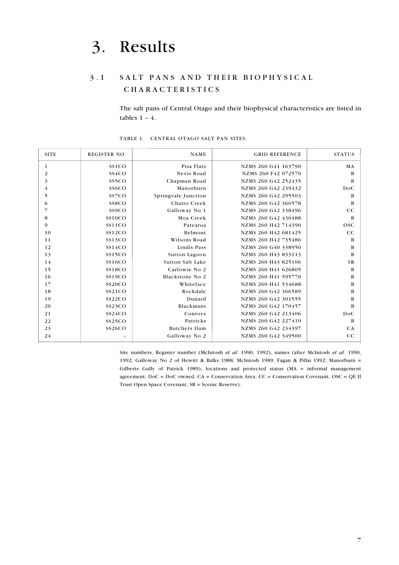# 3. Results

### 3.1 SALT PANS AND THEIR BIOPHYSICAL C H A R A C T E R I S T I C S

The salt pans of Central Otago and their biophysical characteristics are listed in tables 1 – 4.

| <b>SITE</b> | <b>REGISTER NO.</b> | <b>NAME</b>         | <b>GRID REFERENCE</b> | <b>STATUS</b> |
|-------------|---------------------|---------------------|-----------------------|---------------|
|             | SS1CO               | Pisa Flats          | NZMS 260 G41 163790   | MA            |
| 2           | SS <sub>4</sub> CO  | Nevis Road          | NZMS 260 F42 072570   | B             |
| 3           | SS <sub>5</sub> CO  | Chapman Road        | NZMS 260 G42 252435   | B             |
| 4           | SS <sub>6</sub> CO  | Manorburn           | NZMS 260 G42 239432   | <b>DoC</b>    |
| 5           | SS7CO               | Springvale Junction | NZMS 260 G42 295503   | B             |
| 6           | SS <sub>8</sub> CO  | Chatto Creek        | NZMS 260 G42 360578   | B             |
|             | SS <sub>9</sub> CO  | Galloway No 1       | NZMS 260 G42 338496   | $_{\rm CC}$   |
| 8           | <b>SS10CO</b>       | Moa Creek           | NZMS 260 G42 436488   | B             |
| 9           | SS11CO              | Patearoa            | NZMS 260 H42 714390   | <b>OSC</b>    |
| 10          | SS12CO              | Belmont             | NZMS 260 H42 681425   | CC            |
| 11          | SS13CO              | Wilsons Road        | NZMS 260 H42 735486   | B             |
| 12          | SS14CO              | Lindis Pass         | NZMS 260 G40 338950   | B             |
| 13          | SS15CO              | Sutton Lagoon       | NZMS 260 H43 833113   | B             |
| 14          | <b>SS16CO</b>       | Sutton Salt Lake    | NZMS 260 H43 825106   | <b>SR</b>     |
| 15          | <b>SS18CO</b>       | Carlowie No 2       | NZMS 260 H41 626805   | B             |
| 16          | <b>SS19CO</b>       | Blackstone No 2     | NZMS 260 H41 595770   | B             |
| 17          | <b>SS20CO</b>       | Whiteface           | NZMS 260 H41 534688   | B             |
| 18          | SS21CO              | Rockdale            | NZMS 260 G42 366589   | B             |
| 19          | SS22CO              | Dunard              | NZMS 260 G42 301555   | B             |
| 20          | SS <sub>23</sub> CO | Blackmans           | NZMS 260 G42 170457   | B             |
| 21          | SS24CO              | Conroys             | NZMS 260 G42 213406   | <b>DoC</b>    |
| 22          | SS25CO              | Patricks            | NZMS 260 G42 227410   | B             |
| 23          | SS26CO              | <b>Butchers Dam</b> | NZMS 260 G42 234397   | CA            |
| 24          |                     | Galloway No 2       | NZMS 260 G42 349500   | $_{\rm CC}$   |

TABLE 1. CENTRAL OTAGO SALT PAN SITES.

Site numbers, Register number (McIntosh *et al*. 1990, 1992), names (after McIntosh *et al*. 1990, 1992; Galloway No 2 of Hewitt & Balks 1988, McIntosh 1989, Fagan & Pillai 1992; Manorburn = Gilberts Gully of Patrick 1989), locations and protected status (MA = informal management agreement, DoC = DoC owned, CA = Conservation Area, CC = Conservation Covenant, OSC = QE II Trust Open Space Covenant, SR = Scenic Reserve).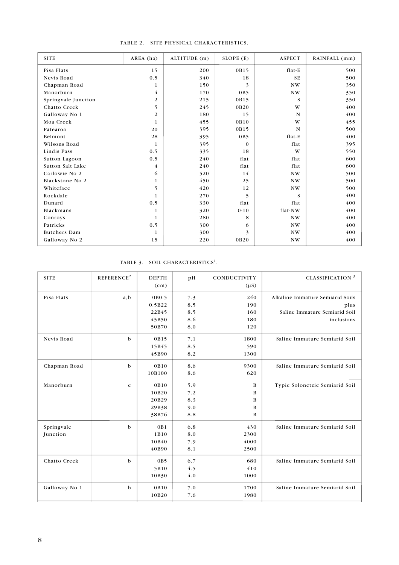| <b>SITE</b>         | AREA (ha) | ALTITUDE (m) | SLOPE (E)        | <b>ASPECT</b>          | RAINFALL (mm) |
|---------------------|-----------|--------------|------------------|------------------------|---------------|
| Pisa Flats          | 15        | 200          | 0B15             | flat-E                 | 500           |
| Nevis Road          | 0.5       | 340          | 18               | <b>SE</b>              | 500           |
| Chapman Road        | 1         | 150          | 3                | NW                     | 350           |
| Manorburn           | 4         | 170          | 0 <sub>B</sub> 5 | $\mathbf{N}\mathbf{W}$ | 350           |
| Springvale Junction | 2         | 215          | 0B15             | S                      | 350           |
| Chatto Creek        | 5         | 245          | 0B20             | W                      | 400           |
| Galloway No 1       | 2         | 180          | 15               | N                      | 400           |
| Moa Creek           | 1         | 455          | 0B10             | W                      | 455           |
| Patearoa            | 20        | 395          | 0B15             | N                      | 500           |
| Belmont             | 28        | 395          | 0 <sub>B</sub> 5 | flat-E                 | 400           |
| Wilsons Road        | 1         | 395          | $\mathbf{0}$     | flat                   | 395           |
| Lindis Pass         | 0.5       | 335          | 18               | W                      | 550           |
| Sutton Lagoon       | 0.5       | 240          | flat             | flat                   | 600           |
| Sutton Salt Lake    | 4         | 240          | flat             | flat                   | 600           |
| Carlowie No 2       | 6         | 520          | 14               | NW                     | 500           |
| Blackstone No 2     | 1         | 450          | 25               | NW                     | 500           |
| Whiteface           | 5         | 420          | 12               | NW                     | 500           |
| Rockdale            |           | 270          | 5                | S                      | 400           |
| Dunard              | 0.5       | 330          | flat             | flat                   | 400           |
| Blackmans           | 1         | 320          | $0 - 10$         | flat-NW                | 400           |
| Conroys             | 1         | 280          | 8                | NW                     | 400           |
| Patricks            | 0.5       | 300          | 6                | NW                     | 400           |
| <b>Butchers</b> Dam | 1         | 300          | 3                | $\mathbf{N}\mathbf{W}$ | 400           |
| Galloway No 2       | 15        | 220          | 0B20             | NW                     | 400           |

#### TABLE 2. SITE PHYSICAL CHARACTERISTICS.

TABLE 3. SOIL CHARACTERISTICS<sup>1</sup>.

| <b>SITE</b>   | REFERENCE <sup>2</sup> | <b>DEPTH</b><br>(cm) | pH  | <b>CONDUCTIVITY</b><br>$(\mu S)$ | CLASSIFICATION <sup>3</sup>      |
|---------------|------------------------|----------------------|-----|----------------------------------|----------------------------------|
| Pisa Flats    | a, b                   | 0B0.5                | 7.3 | 240                              | Alkaline Immature Semiarid Soils |
|               |                        | 0.5B22               | 8.5 | 190                              | plus                             |
|               |                        | 22B45                | 8.5 | 160                              | Saline Immature Semiarid Soil    |
|               |                        | 45B50                | 8.6 | 180                              | inclusions                       |
|               |                        | 50B70                | 8.0 | 120                              |                                  |
| Nevis Road    | $\mathbf b$            | 0B15                 | 7.1 | 1800                             | Saline Immature Semiarid Soil    |
|               |                        | 15B45                | 8.5 | 590                              |                                  |
|               |                        | 45B90                | 8.2 | 1300                             |                                  |
| Chapman Road  | $\mathbf b$            | 0B10                 | 8.6 | 9300                             | Saline Immature Semiarid Soil    |
|               |                        | 10B100               | 8.6 | 620                              |                                  |
| Manorburn     | $\mathbf c$            | 0B10                 | 5.9 | B                                | Typic Solonetzic Semiarid Soil   |
|               |                        | 10B20                | 7.2 | B                                |                                  |
|               |                        | 20B29                | 8.3 | B                                |                                  |
|               |                        | 29B38                | 9.0 | B                                |                                  |
|               |                        | 38B76                | 8.8 | B                                |                                  |
| Springvale    | $\mathbf b$            | 0B1                  | 6.8 | 430                              | Saline Immature Semiarid Soil    |
| Junction      |                        | 1B10                 | 8.0 | 2300                             |                                  |
|               |                        | 10B40                | 7.9 | 4000                             |                                  |
|               |                        | 40B90                | 8.1 | 2500                             |                                  |
| Chatto Creek  | $\mathbf b$            | 0 <sub>B</sub> 5     | 6.7 | 680                              | Saline Immature Semiarid Soil    |
|               |                        | 5B10                 | 4.5 | 410                              |                                  |
|               |                        | 10B30                | 4.0 | 1000                             |                                  |
| Galloway No 1 | b                      | 0B10                 | 7.0 | 1700                             | Saline Immature Semiarid Soil    |
|               |                        | 10B20                | 7.6 | 1980                             |                                  |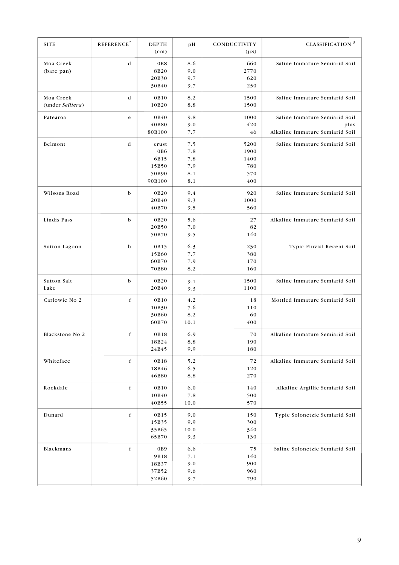| <b>SITE</b>                   | REFERENCE <sup>2</sup> | <b>DEPTH</b><br>(cm)                                         | pH                                     | CONDUCTIVITY<br>$(\mu S)$                 | <b>CLASSIFICATION</b> <sup>3</sup>                                       |
|-------------------------------|------------------------|--------------------------------------------------------------|----------------------------------------|-------------------------------------------|--------------------------------------------------------------------------|
| Moa Creek<br>(bare pan)       | d                      | 0B8<br>8B20<br>20B30<br>30B40                                | 8.6<br>9.0<br>9.7<br>9.7               | 660<br>2770<br>620<br>250                 | Saline Immature Semiarid Soil                                            |
| Moa Creek<br>(under Selliera) | d                      | 0B10<br>10B20                                                | 8.2<br>8.8                             | 1500<br>1500                              | Saline Immature Semiarid Soil                                            |
| Patearoa                      | e                      | 0B40<br>40B80<br>80B100                                      | 9.8<br>9.0<br>7.7                      | 1000<br>420<br>46                         | Saline Immature Semiarid Soil<br>plus<br>Alkaline Immature Semiarid Soil |
| Belmont                       | d                      | crust<br>0B <sub>6</sub><br>6B15<br>15B50<br>50B90<br>90B100 | 7.5<br>7.8<br>7.8<br>7.9<br>8.1<br>8.1 | 5200<br>1900<br>1400<br>780<br>570<br>400 | Saline Immature Semiarid Soil                                            |
| Wilsons Road                  | b                      | 0B20<br>20B40<br>40B70                                       | 9.4<br>9.3<br>9.5                      | 920<br>1000<br>560                        | Saline Immature Semiarid Soil                                            |
| Lindis Pass                   | b                      | 0B20<br>20B50<br>50B70                                       | 5.6<br>7.0<br>9.5                      | 27<br>82<br>140                           | Alkaline Immature Semiarid Soil                                          |
| Sutton Lagoon                 | b                      | 0B15<br>15B60<br>60B70<br>70B80                              | 6.3<br>7.7<br>7.9<br>8.2               | 230<br>380<br>170<br>160                  | Typic Fluvial Recent Soil                                                |
| Sutton Salt<br>Lake           | b                      | 0B20<br>20B40                                                | 9.1<br>9.3                             | 1500<br>1100                              | Saline Immature Semiarid Soil                                            |
| Carlowie No 2                 | f                      | 0B10<br>10B30<br>30B60<br>60B70                              | 4.2<br>7.6<br>8.2<br>10.1              | 18<br>110<br>60<br>400                    | Mottled Immature Semiarid Soil                                           |
| Blackstone No 2               | f                      | 0B18<br>18B24<br>24B45                                       | 6.9<br>8.8<br>9.9                      | 70<br>190<br>180                          | Alkaline Immature Semiarid Soil                                          |
| Whiteface                     | f                      | 0B18<br>18B46<br>46B80                                       | 5.2<br>6.5<br>8.8                      | 72<br>120<br>270                          | Alkaline Immature Semiarid Soil                                          |
| Rockdale                      | $\mathbf f$            | 0B10<br>10B40<br>40B55                                       | 6.0<br>7.8<br>10.0                     | 140<br>500<br>570                         | Alkaline Argillic Semiarid Soil                                          |
| Dunard                        | $\mathbf f$            | 0B15<br>15B35<br>35B65<br>65B70                              | 9.0<br>9.9<br>10.0<br>9.3              | 150<br>300<br>340<br>130                  | Typic Solonetzic Semiarid Soil                                           |
| Blackmans                     | $\mathbf f$            | 0 <sub>B9</sub><br>9B18<br>18B37<br>37B52<br>52B60           | 6.6<br>7.1<br>9.0<br>9.6<br>9.7        | 75<br>140<br>900<br>960<br>790            | Saline Solonetzic Semiarid Soil                                          |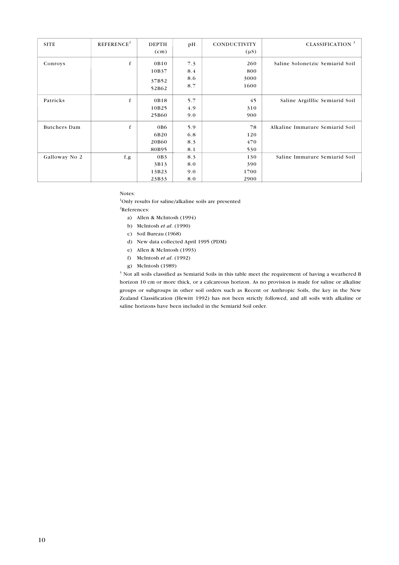| <b>SITE</b>   | REFERENCE <sup>2</sup> | <b>DEPTH</b><br>(cm)            | pH                       | CONDUCTIVITY<br>$(\mu S)$  | <b>CLASSIFICATION</b> <sup>3</sup> |
|---------------|------------------------|---------------------------------|--------------------------|----------------------------|------------------------------------|
| Conroys       | f                      | 0B10<br>10B37<br>37B52<br>52B62 | 7.3<br>8.4<br>8.6<br>8.7 | 260<br>800<br>3000<br>1600 | Saline Solonetzic Semiarid Soil    |
| Patricks      | f                      | 0B18<br>10B25<br>25B60          | 5.7<br>4.9<br>9.0        | 45<br>310<br>900           | Saline Argilllic Semiarid Soil     |
| Butchers Dam  | f                      | 0B6<br>6B20<br>20B60<br>80B95   | 5.9<br>6.8<br>8.3<br>8.1 | 78<br>120<br>470<br>530    | Alkaline Immature Semiarid Soil    |
| Galloway No 2 | f, g                   | 0B3<br>3B13<br>13B23<br>23B33   | 8.3<br>8.0<br>9.0<br>8.0 | 130<br>390<br>1700<br>2900 | Saline Immature Semiarid Soil      |

Notes:

<sup>1</sup>Only results for saline/alkaline soils are presented 2 References:

- a) Allen & McIntosh (1994)
- b) McIntosh *et al*. (1990)
- c) Soil Bureau (1968)
- d) New data collected April 1995 (PDM)
- e) Allen & McIntosh (1993)
- f) McIntosh *et al*. (1992)
- g) McIntosh (1989)

<sup>3</sup> Not all soils classified as Semiarid Soils in this table meet the requirement of having a weathered B horizon 10 cm or more thick, or a calcareous horizon. As no provision is made for saline or alkaline groups or subgroups in other soil orders such as Recent or Anthropic Soils, the key in the New Zealand Classification (Hewitt 1992) has not been strictly followed, and all soils with alkaline or saline horizons have been included in the Semiarid Soil order.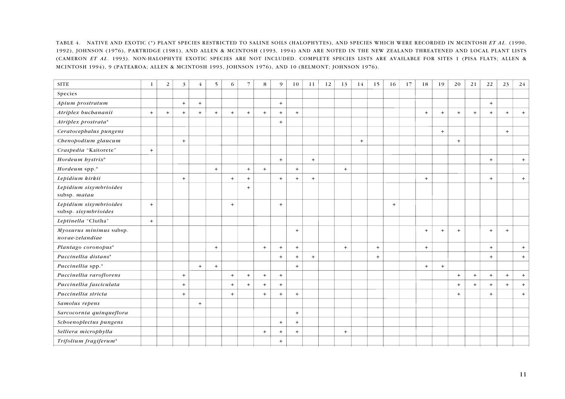TABLE 4. NATIVE AND EXOTIC (\*) PLANT SPECIES RESTRICTED TO SALINE SOILS (HALOPHYTES), AND SPECIES WHICH WERE RECORDED IN MCINTOSH *ET AL*. (1990, 1992), JOHNSON (1976), PARTRIDGE (1981), AND ALLEN & MCINTOSH (1993, 1994) AND ARE NOTED IN THE NEW ZEALAND THREATENED AND LOCAL PLANT LISTS (CAMERON *ET AL*. 1993). NON-HALOPHYTE EXOTIC SPECIES ARE NOT INCLUDED. COMPLETE SPECIES LISTS ARE AVAILABLE FOR SITES 1 (PISA FLATS; ALLEN & MCINTOSH 1994), 9 (PATEAROA; ALLEN & MCINTOSH 1993, JOHNSON 1976), AND 10 (BELMONT; JOHNSON 1976).

| <b>SITE</b>                                    | 1   | 2   | 3   | 4   | 5   | 6   |     | 8   | 9   | 10    | 11               | 12 | 13  | 14  | 15  | 16  | 17 | 18  | 19  | 20  | 21  | 22  | 23  | 24        |
|------------------------------------------------|-----|-----|-----|-----|-----|-----|-----|-----|-----|-------|------------------|----|-----|-----|-----|-----|----|-----|-----|-----|-----|-----|-----|-----------|
| Species                                        |     |     |     |     |     |     |     |     |     |       |                  |    |     |     |     |     |    |     |     |     |     |     |     |           |
| Apium prostratum                               |     |     | $+$ | $+$ |     |     |     |     | $+$ |       |                  |    |     |     |     |     |    |     |     |     |     | $+$ |     |           |
| Atriplex buchananii                            | $+$ | $+$ | $+$ | $+$ | $+$ | $+$ | $+$ | $+$ | $+$ | $+$   |                  |    |     |     |     |     |    | $+$ | $+$ | $+$ | $+$ | $+$ | $+$ | $\ddot{}$ |
| Atriplex prostrata*                            |     |     |     |     |     |     |     |     | $+$ |       |                  |    |     |     |     |     |    |     |     |     |     |     |     |           |
| Ceratocephalus pungens                         |     |     |     |     |     |     |     |     |     |       |                  |    |     |     |     |     |    |     | $+$ |     |     |     | $+$ |           |
| Chenopodium glaucum                            |     |     | $+$ |     |     |     |     |     |     |       |                  |    |     | $+$ |     |     |    |     |     | $+$ |     |     |     |           |
| Craspedia "Kaitorete"                          | $+$ |     |     |     |     |     |     |     |     |       |                  |    |     |     |     |     |    |     |     |     |     |     |     |           |
| Hordeum hystrix*                               |     |     |     |     |     |     |     |     | $+$ |       | $+$              |    |     |     |     |     |    |     |     |     |     | $+$ |     | $+$       |
| Hordeum spp.*                                  |     |     |     |     | $+$ |     | $+$ | $+$ |     | $+$   |                  |    | $+$ |     |     |     |    |     |     |     |     |     |     |           |
| Lepidium kirkii                                |     |     | $+$ |     |     | $+$ | $+$ |     | $+$ | $\pm$ | $\boldsymbol{+}$ |    |     |     |     |     |    | $+$ |     |     |     | $+$ |     | $\pm$     |
| Lepidium sisymbrioides<br>subsp. matau         |     |     |     |     |     |     | $+$ |     |     |       |                  |    |     |     |     |     |    |     |     |     |     |     |     |           |
| Lepidium sisymbrioides<br>subsp. sisymbrioides | $+$ |     |     |     |     | $+$ |     |     | $+$ |       |                  |    |     |     |     | $+$ |    |     |     |     |     |     |     |           |
| Leptinella "Clutha"                            | $+$ |     |     |     |     |     |     |     |     |       |                  |    |     |     |     |     |    |     |     |     |     |     |     |           |
| Myosurus minimus subsp.<br>novae-zelandiae     |     |     |     |     |     |     |     |     |     | $+$   |                  |    |     |     |     |     |    | $+$ | $+$ | $+$ |     | $+$ | $+$ |           |
| Plantago coronopus*                            |     |     |     |     | $+$ |     |     | $+$ | $+$ | $+$   |                  |    | $+$ |     | $+$ |     |    | $+$ |     |     |     | $+$ |     | $+$       |
| Puccinellia distans*                           |     |     |     |     |     |     |     |     | $+$ | $+$   | $+$              |    |     |     | $+$ |     |    |     |     |     |     | $+$ |     | $+$       |
| Puccinellia spp.*                              |     |     |     | $+$ | $+$ |     |     |     |     | $+$   |                  |    |     |     |     |     |    | $+$ | $+$ |     |     |     |     |           |
| Puccinellia raroflorens                        |     |     | $+$ |     |     | $+$ | $+$ | $+$ | $+$ |       |                  |    |     |     |     |     |    |     |     | $+$ | $+$ | $+$ | $+$ | $+$       |
| Puccinellia fasciculata                        |     |     | $+$ |     |     | $+$ | $+$ | $+$ | $+$ |       |                  |    |     |     |     |     |    |     |     | $+$ | $+$ | $+$ | $+$ | $+$       |
| Puccinellia stricta                            |     |     | $+$ |     |     | $+$ |     | $+$ | $+$ | $\pm$ |                  |    |     |     |     |     |    |     |     | $+$ |     | $+$ |     | $+$       |
| Samolus repens                                 |     |     |     | $+$ |     |     |     |     |     |       |                  |    |     |     |     |     |    |     |     |     |     |     |     |           |
| Sarcocornia quinqueflora                       |     |     |     |     |     |     |     |     |     | $+$   |                  |    |     |     |     |     |    |     |     |     |     |     |     |           |
| Schoenoplectus pungens                         |     |     |     |     |     |     |     |     | $+$ | $\pm$ |                  |    |     |     |     |     |    |     |     |     |     |     |     |           |
| Selliera microphylla                           |     |     |     |     |     |     |     | $+$ | $+$ | $+$   |                  |    | $+$ |     |     |     |    |     |     |     |     |     |     |           |
| Trifolium fragiferum*                          |     |     |     |     |     |     |     |     | $+$ |       |                  |    |     |     |     |     |    |     |     |     |     |     |     |           |
|                                                |     |     |     |     |     |     |     |     |     |       |                  |    |     |     |     |     |    |     |     |     |     |     |     |           |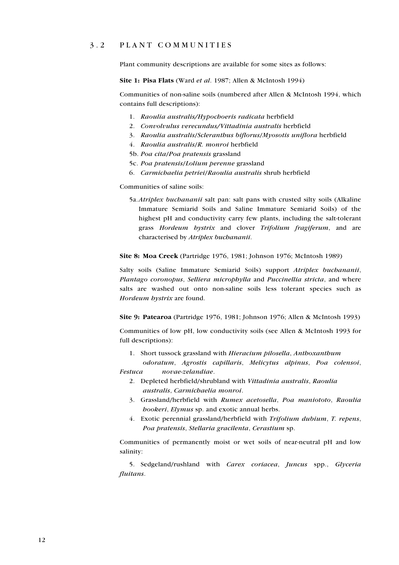#### 3 . 2 P L A N T C O M M U N I T I E S

Plant community descriptions are available for some sites as follows:

**Site 1: Pisa Flats** (Ward *et al*. 1987; Allen & McIntosh 1994)

Communities of non-saline soils (numbered after Allen & McIntosh 1994, which contains full descriptions):

- 1. *Raoulia australis/Hypochoeris radicata* herbfield
- 2. *Convolvulus verecundus/Vittadinia australis* herbfield
- 3. *Raoulia australis*/*Scleranthus biflorus*/*Myosotis uniflora* herbfield
- 4. *Raoulia australis*/*R. monroi* herbfield
- 5b. *Poa cita*/*Poa pratensis* grassland
- 5c. *Poa pratensis*/*Lolium perenne* grassland
- 6. *Carmichaelia petriei*/*Raoulia australis* shrub herbfield

Communities of saline soils:

5a.*Atriplex buchananii* salt pan: salt pans with crusted silty soils (Alkaline Immature Semiarid Soils and Saline Immature Semiarid Soils) of the highest pH and conductivity carry few plants, including the salt-tolerant grass *Hordeum hystrix* and clover *Trifolium fragiferum*, and are characterised by *Atriplex buchananii*.

**Site 8: Moa Creek** (Partridge 1976, 1981; Johnson 1976; McIntosh 1989)

Salty soils (Saline Immature Semiarid Soils) support *Atriplex buchananii*, *Plantago coronopus*, *Selliera microphylla* and *Puccinellia stricta*, and where salts are washed out onto non-saline soils less tolerant species such as *Hordeum hystrix* are found.

**Site 9: Patearoa** (Partridge 1976, 1981; Johnson 1976; Allen & McIntosh 1993)

Communities of low pH, low conductivity soils (see Allen & McIntosh 1993 for full descriptions):

1. Short tussock grassland with *Hieracium pilosella*, *Anthoxanthum* 

 *odoratum*, *Agrostis capillaris*, *Melicytus alpinus*, *Poa colensoi*, *Festuca novae-zelandiae*.

- 2. Depleted herbfield/shrubland with *Vittadinia australis*, *Raoulia australis*, *Carmichaelia monroi*.
- 3. Grassland/herbfield with *Rumex acetosella*, *Poa maniototo*, *Raoulia hookeri*, *Elymus* sp. and exotic annual herbs.
- 4. Exotic perennial grassland/herbfield with *Trifolium dubium*, *T. repens*, *Poa pratensis*, *Stellaria gracilenta*, *Cerastium* sp.

Communities of permanently moist or wet soils of near-neutral pH and low salinity:

 5. Sedgeland/rushland with *Carex coriacea*, *Juncus* spp., *Glyceria fluitans*.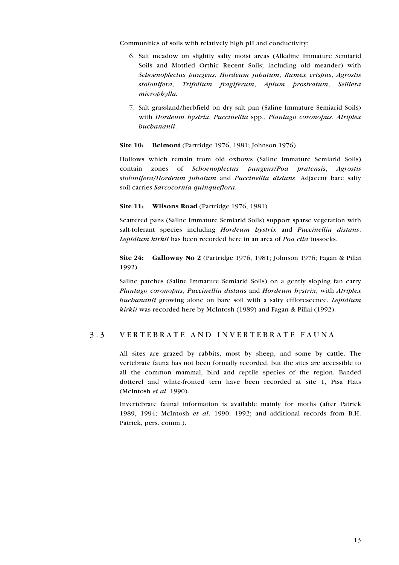Communities of soils with relatively high pH and conductivity:

- 6. Salt meadow on slightly salty moist areas (Alkaline Immature Semiarid Soils and Mottled Orthic Recent Soils; including old meander) with *Schoenoplectus pungens, Hordeum jubatum*, *Rumex crispus*, *Agrostis stolonifera*, *Trifolium fragiferum*, *Apium prostratum*, *Selliera microphylla.*
- 7. Salt grassland/herbfield on dry salt pan (Saline Immature Semiarid Soils) with *Hordeum hystrix*, *Puccinellia* spp., *Plantago coronopus*, *Atriplex buchananii*.

**Site 10: Belmont** (Partridge 1976, 1981; Johnson 1976)

Hollows which remain from old oxbows (Saline Immature Semiarid Soils) contain zones of *Schoenoplectus pungens*/*Poa pratensis*, *Agrostis stolonifera*/*Hordeum jubatum* and *Puccinellia distans*. Adjacent bare salty soil carries *Sarcocornia quinqueflora*.

#### **Site 11: Wilsons Road** (Partridge 1976, 1981)

Scattered pans (Saline Immature Semiarid Soils) support sparse vegetation with salt-tolerant species including *Hordeum hystrix* and *Puccinellia distans*. *Lepidium kirkii* has been recorded here in an area of *Poa cita* tussocks.

**Site 24: Galloway No 2** (Partridge 1976, 1981; Johnson 1976; Fagan & Pillai 1992)

Saline patches (Saline Immature Semiarid Soils) on a gently sloping fan carry *Plantago coronopus*, *Puccinellia distans* and *Hordeum hystrix*, with *Atriplex buchananii* growing alone on bare soil with a salty efflorescence. *Lepidium kirkii* was recorded here by McIntosh (1989) and Fagan & Pillai (1992).

#### 3.3 VERTEBRATE AND INVERTEBRATE FAUNA

All sites are grazed by rabbits, most by sheep, and some by cattle. The vertebrate fauna has not been formally recorded, but the sites are accessible to all the common mammal, bird and reptile species of the region. Banded dotterel and white-fronted tern have been recorded at site 1, Pisa Flats (McIntosh *et al*. 1990).

Invertebrate faunal information is available mainly for moths (after Patrick 1989, 1994; McIntosh *et al*. 1990, 1992; and additional records from B.H. Patrick, pers. comm.).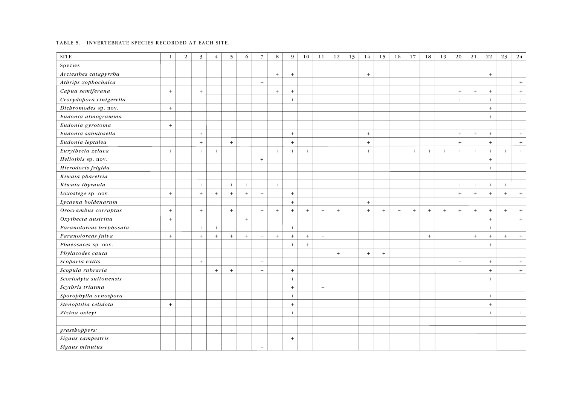#### TABLE 5. INVERTEBRATE SPECIES RECORDED AT EACH SITE.

| <b>SITE</b>             | $\mathbf{1}$     | $\overline{2}$ | $\overline{3}$   | $\overline{4}$ | 5   | 6      | $\overline{7}$ | 8      | $\overline{9}$   | 10     | 11  | 12  | 13 | 14      | 15  | 16  | 17    | 18  | 19  | 20  | 21               | 22  | 23  | 24  |
|-------------------------|------------------|----------------|------------------|----------------|-----|--------|----------------|--------|------------------|--------|-----|-----|----|---------|-----|-----|-------|-----|-----|-----|------------------|-----|-----|-----|
| Species                 |                  |                |                  |                |     |        |                |        |                  |        |     |     |    |         |     |     |       |     |     |     |                  |     |     |     |
| Arctesthes catapyrrha   |                  |                |                  |                |     |        |                | $+$    | $+$              |        |     |     |    | $+$     |     |     |       |     |     |     |                  | $+$ |     |     |
| Athrips zophochalca     |                  |                |                  |                |     |        | $+$            |        |                  |        |     |     |    |         |     |     |       |     |     |     |                  |     |     | $+$ |
| Capua semiferana        | $\boldsymbol{+}$ |                | $\boldsymbol{+}$ |                |     |        |                | $\pm$  | $+$              |        |     |     |    |         |     |     |       |     |     | $+$ | $\boldsymbol{+}$ | $+$ |     | $+$ |
| Crocydopora cinigerella |                  |                |                  |                |     |        |                |        | $+$              |        |     |     |    |         |     |     |       |     |     | $+$ |                  | $+$ |     | $+$ |
| Dichromodes sp. nov.    | $\, +$           |                |                  |                |     |        |                |        |                  |        |     |     |    |         |     |     |       |     |     |     |                  | $+$ |     |     |
| Eudonia atmogramma      |                  |                |                  |                |     |        |                |        |                  |        |     |     |    |         |     |     |       |     |     |     |                  | $+$ |     |     |
| Eudonia gyrotoma        | $+$              |                |                  |                |     |        |                |        |                  |        |     |     |    |         |     |     |       |     |     |     |                  |     |     |     |
| Eudonia sabulosella     |                  |                | $\, +$           |                |     |        |                |        | $\, +$           |        |     |     |    | $\,+\,$ |     |     |       |     |     | $+$ | $\boldsymbol{+}$ | $+$ |     | $+$ |
| Eudonia leptalea        |                  |                | $+$              |                | $+$ |        |                |        | $\pm$            |        |     |     |    | $+$     |     |     |       |     |     | $+$ |                  | $+$ |     | $+$ |
| Eurythecta zelaea       | $\, +$           |                | $+$              | $+$            |     |        | $+$            | $\, +$ | $\pm$            | $\! +$ | $+$ |     |    | $+$     |     |     | $\pm$ | $+$ | $+$ | $+$ | $\pm$            | $+$ | $+$ | $+$ |
| Heliothis sp. nov.      |                  |                |                  |                |     |        | $+$            |        |                  |        |     |     |    |         |     |     |       |     |     |     |                  | $+$ |     |     |
| Hierodoris frigida      |                  |                |                  |                |     |        |                |        |                  |        |     |     |    |         |     |     |       |     |     |     |                  | $+$ |     |     |
| Kiwaia pharetria        |                  |                |                  |                |     |        |                |        |                  |        |     |     |    |         |     |     |       |     |     |     |                  |     |     |     |
| Kiwaia thyraula         |                  |                | $\pm$            |                | $+$ | $\, +$ | $+$            | $+$    |                  |        |     |     |    |         |     |     |       |     |     | $+$ | $\boldsymbol{+}$ | $+$ | $+$ |     |
| Loxostege sp. nov.      | $+$              |                | $+$              | $+$            | $+$ | $+$    | $+$            |        | $+$              |        |     |     |    |         |     |     |       |     |     | $+$ | $+$              | $+$ | $+$ | $+$ |
| Lycaena boldenarum      |                  |                |                  |                |     |        |                |        | $\pm$            |        |     |     |    | $+$     |     |     |       |     |     |     |                  |     |     |     |
| Orocrambus corruptus    | $+$              |                | $+$              |                | $+$ |        | $+$            | $+$    | $+$              | $+$    | $+$ | $+$ |    | $+$     | $+$ | $+$ | $+$   | $+$ | $+$ | $+$ | $+$              | $+$ | $+$ | $+$ |
| Oxythecta austrina      | $+$              |                |                  |                |     | $\, +$ |                |        |                  |        |     |     |    |         |     |     |       |     |     |     |                  | $+$ |     | $+$ |
| Paranotoreas brephosata |                  |                | $+$              | $+$            |     |        |                |        | $+$              |        |     |     |    |         |     |     |       |     |     |     |                  | $+$ |     |     |
| Paranotoreas fulva      | $\, +$           |                | $+$              | $\pm$          | $+$ | $+$    | $+$            | $\, +$ | $+$              | $+$    | $+$ |     |    |         |     |     |       | $+$ |     |     | $+$              | $+$ | $+$ | $+$ |
| Phaeosaces sp. nov.     |                  |                |                  |                |     |        |                |        | $+$              | $\! +$ |     |     |    |         |     |     |       |     |     |     |                  | $+$ |     |     |
| Phylacodes cauta        |                  |                |                  |                |     |        |                |        |                  |        |     | $+$ |    | $+$     | $+$ |     |       |     |     |     |                  |     |     |     |
| Scoparia exilis         |                  |                | $+$              |                |     |        | $+$            |        |                  |        |     |     |    |         |     |     |       |     |     | $+$ |                  | $+$ |     | $+$ |
| Scopula rubraria        |                  |                |                  | $+$            | $+$ |        | $+$            |        | $\pm$            |        |     |     |    |         |     |     |       |     |     |     |                  | $+$ |     | $+$ |
| Scoriodyta suttonensis  |                  |                |                  |                |     |        |                |        | $\pm$            |        |     |     |    |         |     |     |       |     |     |     |                  | $+$ |     |     |
| Scythris triatma        |                  |                |                  |                |     |        |                |        | $\pm$            |        | $+$ |     |    |         |     |     |       |     |     |     |                  |     |     |     |
| Sporophylla oenospora   |                  |                |                  |                |     |        |                |        | $\pm$            |        |     |     |    |         |     |     |       |     |     |     |                  | $+$ |     |     |
| Stenoptilia celidota    | $+$              |                |                  |                |     |        |                |        | $+$              |        |     |     |    |         |     |     |       |     |     |     |                  | $+$ |     |     |
| Zizina oxleyi           |                  |                |                  |                |     |        |                |        | $\boldsymbol{+}$ |        |     |     |    |         |     |     |       |     |     |     |                  | $+$ |     | $+$ |
|                         |                  |                |                  |                |     |        |                |        |                  |        |     |     |    |         |     |     |       |     |     |     |                  |     |     |     |
| grasshoppers:           |                  |                |                  |                |     |        |                |        |                  |        |     |     |    |         |     |     |       |     |     |     |                  |     |     |     |
| Sigaus campestris       |                  |                |                  |                |     |        |                |        | $\pm$            |        |     |     |    |         |     |     |       |     |     |     |                  |     |     |     |
| Sigaus minutus          |                  |                |                  |                |     |        | $^{+}$         |        |                  |        |     |     |    |         |     |     |       |     |     |     |                  |     |     |     |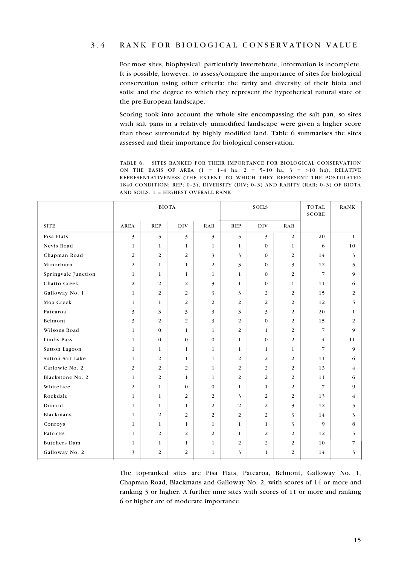#### 3.4 RANK FOR BIOLOGICAL CONSERVATION VALUE

For most sites, biophysical, particularly invertebrate, information is incomplete. It is possible, however, to assess/compare the importance of sites for biological conservation using other criteria: the rarity and diversity of their biota and soils; and the degree to which they represent the hypothetical natural state of the pre-European landscape.

Scoring took into account the whole site encompassing the salt pan, so sites with salt pans in a relatively unmodified landscape were given a higher score than those surrounded by highly modified land. Table 6 summarises the sites assessed and their importance for biological conservation.

TABLE 6. SITES RANKED FOR THEIR IMPORTANCE FOR BIOLOGICAL CONSERVATION ON THE BASIS OF AREA  $(1 = 1-4$  ha,  $2 = 5-10$  ha,  $3 = >10$  ha), RELATIVE REPRESENTATIVENESS (THE EXTENT TO WHICH THEY REPRESENT THE POSTULATED 1840 CONDITION; REP; 0–3), DIVERSITY (DIV; 0–3) AND RARITY (RAR; 0–3) OF BIOTA AND SOILS. 1 = HIGHEST OVERALL RANK.

|                     |                | <b>BIOTA</b>   |                |                |                | SOILS            |                | <b>TOTAL</b><br><b>SCORE</b> | <b>RANK</b>  |
|---------------------|----------------|----------------|----------------|----------------|----------------|------------------|----------------|------------------------------|--------------|
| <b>SITE</b>         | AREA           | <b>REP</b>     | DIV            | RAR            | <b>REP</b>     | DIV              | RAR            |                              |              |
| Pisa Flats          | 3              | 3              | 3              | 3              | 3              | $\overline{3}$   | 2              | 20                           | $\mathbf{1}$ |
| Nevis Road          | $\mathbf{1}$   | $\mathbf{1}$   | $\mathbf{1}$   | $\mathbf{1}$   | $\mathbf{1}$   | $\mathbf{0}$     | $\mathbf{1}$   | 6                            | 10           |
| Chapman Road        | $\overline{2}$ | $\overline{2}$ | $\overline{2}$ | 3              | 3              | $\mathbf{0}$     | $\overline{2}$ | 14                           | 3            |
| Manorburn           | 2              | $\mathbf{1}$   | $\mathbf{1}$   | 2              | 3              | $\boldsymbol{0}$ | 3              | 12                           | 5            |
| Springvale Junction | 1              | 1              | 1              | $\mathbf{1}$   | 1              | $\mathbf{0}$     | $\overline{2}$ | $\overline{7}$               | 9            |
| Chatto Creek        | $\overline{2}$ | $\overline{2}$ | $\overline{2}$ | 3              | $\mathbf{1}$   | $\mathbf{0}$     | $\mathbf{1}$   | 11                           | 6            |
| Galloway No. 1      | $\mathbf{1}$   | $\overline{2}$ | 2              | $\mathfrak{Z}$ | 3              | 2                | 2              | 15                           | 2            |
| Moa Creek           | $\mathbf{1}$   | $\mathbf{1}$   | $\overline{c}$ | $\overline{2}$ | $\overline{2}$ | $\overline{2}$   | $\overline{2}$ | 12                           | 5            |
| Patearoa            | 3              | 3              | 3              | 3              | 3              | 3                | 2              | 20                           | 1            |
| Belmont             | 3              | $\overline{2}$ | $\overline{2}$ | 3              | 2              | $\mathbf{0}$     | 2              | 15                           | 2            |
| Wilsons Road        | $\mathbf{1}$   | $\mathbf{0}$   | 1              | 1              | 2              | 1                | 2              | $\overline{7}$               | 9            |
| Lindis Pass         | $\mathbf{1}$   | $\mathbf{0}$   | $\mathbf 0$    | $\mathbf 0$    | $\mathbf{1}$   | $\mathbf{0}$     | 2              | $\overline{4}$               | 11           |
| Sutton Lagoon       | 1              | 1              | 1              | 1              | 1              | 1                | 1              | $\overline{7}$               | 9            |
| Sutton Salt Lake    | 1              | 2              | 1              | 1              | 2              | 2                | 2              | 11                           | 6            |
| Carlowie No. 2      | 2              | 2              | 2              | 1              | 2              | 2                | 2              | 13                           | 4            |
| Blackstone No. 2    | $\mathbf 1$    | $\overline{2}$ | $\mathbf 1$    | 1              | $\overline{2}$ | 2                | 2              | 11                           | 6            |
| Whiteface           | 2              | $\mathbf{1}$   | $\mathbf 0$    | $\mathbf 0$    | $\mathbf{1}$   | $\mathbf{1}$     | 2              | $\overline{7}$               | 9            |
| Rockdale            | 1              | $\mathbf{1}$   | 2              | 2              | 3              | 2                | 2              | 13                           | 4            |
| Dunard              | $\mathbf{1}$   | $\mathbf{1}$   | $\mathbf{1}$   | 2              | 2              | 2                | 3              | 12                           | 5            |
| Blackmans           | $\mathbf{1}$   | $\overline{2}$ | $\overline{2}$ | $\overline{2}$ | $\overline{2}$ | $\overline{2}$   | 3              | 14                           | 3            |
| Conroys             | 1              | $\mathbf{1}$   | 1              | 1              | $\mathbf{1}$   | 1                | 3              | 9                            | 8            |
| Patricks            | 1              | $\overline{2}$ | $\overline{2}$ | $\overline{2}$ | $\mathbf{1}$   | $\overline{2}$   | 2              | 12                           | 5            |
| <b>Butchers</b> Dam | $\mathbf{1}$   | $\mathbf{1}$   | $\mathbf{1}$   | $\mathbf{1}$   | $\overline{2}$ | $\overline{2}$   | 2              | 10                           | 7            |
| Galloway No. 2      | 3              | $\overline{2}$ | 2              | $\mathbf{1}$   | 3              | $\mathbf{1}$     | 2              | 14                           | 3            |

The top-ranked sites are Pisa Flats, Patearoa, Belmont, Galloway No. 1, Chapman Road, Blackmans and Galloway No. 2, with scores of 14 or more and ranking 3 or higher. A further nine sites with scores of 11 or more and ranking 6 or higher are of moderate importance.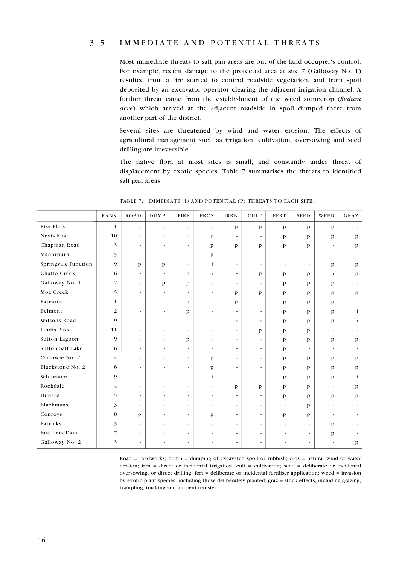#### 3.5 IMMEDIATE AND POTENTIAL THREATS

Most immediate threats to salt pan areas are out of the land occupier's control. For example, recent damage to the protected area at site 7 (Galloway No. 1) resulted from a fire started to control roadside vegetation, and from spoil deposited by an excavator operator clearing the adjacent irrigation channel. A further threat came from the establishment of the weed stonecrop (*Sedum acre*) which arrived at the adjacent roadside in spoil dumped there from another part of the district.

Several sites are threatened by wind and water erosion. The effects of agricultural management such as irrigation, cultivation, oversowing and seed drilling are irreversible.

The native flora at most sites is small, and constantly under threat of displacement by exotic species. Table 7 summarises the threats to identified salt pan areas.

|                     | <b>RANK</b>    | <b>ROAD</b>              | <b>DUMP</b>              | <b>FIRE</b>              | <b>EROS</b>              | <b>IRRN</b>              | <b>CULT</b>              | <b>FERT</b>              | <b>SEED</b>              | WEED                     | GRAZ         |
|---------------------|----------------|--------------------------|--------------------------|--------------------------|--------------------------|--------------------------|--------------------------|--------------------------|--------------------------|--------------------------|--------------|
| Pisa Flats          | $\mathbf{1}$   | $\overline{\phantom{a}}$ | $\overline{\phantom{a}}$ | $\blacksquare$           | $\blacksquare$           | $\mathbf{p}$             | $\mathbf{p}$             | $\mathbf{p}$             | $\mathbf{p}$             | $\mathbf{p}$             |              |
| Nevis Road          | 10             | $\overline{\phantom{a}}$ | $\overline{\phantom{a}}$ | $\overline{\phantom{a}}$ | $\mathbf{p}$             | $\overline{\phantom{a}}$ | $\overline{\phantom{a}}$ | $\mathbf{p}$             | $\mathbf{p}$             | $\mathbf{p}$             | p            |
| Chapman Road        | 3              | $\blacksquare$           | $\overline{\phantom{a}}$ | $\blacksquare$           | $\mathbf{p}$             | $\mathbf{p}$             | $\mathbf{p}$             | $\mathbf{p}$             | p                        | $\overline{\phantom{a}}$ | p            |
| Manorburn           | 5              | $\tilde{\phantom{a}}$    | $\blacksquare$           | $\blacksquare$           | $\mathbf{p}$             | $\overline{\phantom{a}}$ | $\overline{\phantom{a}}$ | $\tilde{\phantom{a}}$    | $\tilde{\phantom{a}}$    | $\overline{\phantom{a}}$ |              |
| Springvale Junction | 9              | $\mathbf{p}$             | p                        | $\overline{\phantom{a}}$ | $\mathbf{i}$             | $\overline{\phantom{a}}$ | $\overline{\phantom{a}}$ | $\overline{\phantom{a}}$ | $\overline{\phantom{a}}$ | $\mathbf{p}$             | $\mathbf{p}$ |
| Chatto Creek        | 6              | $\overline{\phantom{a}}$ | $\overline{\phantom{a}}$ | p                        | $\mathbf{i}$             | $\overline{\phantom{a}}$ | $\mathbf{p}$             | $\mathbf{p}$             | p                        | $\mathbf{i}$             | $\mathbf{p}$ |
| Galloway No. 1      | 2              | $\overline{\phantom{a}}$ | p                        | p                        | $\overline{\phantom{a}}$ | $\overline{\phantom{a}}$ | $\overline{a}$           | $\mathbf{p}$             | $\mathbf{p}$             | $\mathbf{p}$             |              |
| Moa Creek           | 5              | $\blacksquare$           | $\blacksquare$           | $\overline{\phantom{a}}$ | $\overline{\phantom{a}}$ | p                        | $\mathbf{p}$             | $\mathbf{p}$             | p                        | $\mathbf{p}$             | $\mathbf{p}$ |
| Patearoa            | $\mathbf{1}$   | $\overline{\phantom{a}}$ | $\blacksquare$           | p                        | $\overline{\phantom{a}}$ | $\mathbf{p}$             | $\overline{\phantom{a}}$ | $\mathbf{p}$             | $\mathbf{p}$             | $\mathbf{p}$             |              |
| Belmont             | 2              | $\overline{\phantom{a}}$ | $\tilde{\phantom{a}}$    | p                        | $\overline{\phantom{a}}$ | $\overline{\phantom{a}}$ | $\overline{\phantom{a}}$ | $\mathbf{p}$             | p                        | $\mathbf{p}$             | $\mathbf{i}$ |
| Wilsons Road        | 9              | $\overline{\phantom{a}}$ | $\overline{\phantom{a}}$ | $\overline{\phantom{a}}$ | $\overline{\phantom{a}}$ | $\mathbf{i}$             | i                        | $\mathbf{p}$             | $\mathbf{p}$             | $\mathbf{p}$             | i            |
| Lindis Pass         | 11             | $\overline{\phantom{a}}$ | $\overline{\phantom{a}}$ | $\overline{\phantom{a}}$ | $\overline{\phantom{a}}$ | $\overline{\phantom{a}}$ | p                        | $\mathbf{p}$             | p                        | $\overline{\phantom{a}}$ |              |
| Sutton Lagoon       | 9              | ÷.                       | $\blacksquare$           | p                        | $\overline{\phantom{a}}$ | $\overline{\phantom{a}}$ | $\overline{\phantom{a}}$ | $\mathbf{p}$             | p                        | $\mathbf{p}$             | p            |
| Sutton Salt Lake    | 6              | ÷.                       | $\blacksquare$           | $\blacksquare$           | $\overline{\phantom{a}}$ | $\overline{\phantom{a}}$ | $\overline{\phantom{a}}$ | p                        | $\tilde{\phantom{a}}$    | $\overline{\phantom{a}}$ |              |
| Carlowie No. 2      | $\overline{4}$ | $\blacksquare$           | $\overline{\phantom{a}}$ | p                        | $\mathbf{p}$             | $\overline{\phantom{a}}$ | $\overline{\phantom{a}}$ | $\mathbf{p}$             | p                        | $\mathbf{p}$             | p            |
| Blackstone No. 2    | 6              | $\blacksquare$           | $\blacksquare$           | $\tilde{\phantom{a}}$    | $\mathbf{p}$             | $\overline{\phantom{a}}$ | $\overline{\phantom{a}}$ | $\mathbf{p}$             | p                        | $\mathbf{p}$             | $\mathbf{p}$ |
| Whiteface           | 9              | $\blacksquare$           | $\blacksquare$           | $\blacksquare$           | $\mathbf{i}$             | $\tilde{\phantom{a}}$    | $\overline{\phantom{a}}$ | $\mathbf{p}$             | p                        | p                        | $\mathbf{i}$ |
| Rockdale            | $\overline{4}$ | $\tilde{\phantom{a}}$    | $\blacksquare$           | $\mathbf{r}$             | $\blacksquare$           | p                        | p                        | $\mathbf{p}$             | p                        | $\overline{\phantom{a}}$ | p            |
| Dunard              | 5              | $\overline{\phantom{a}}$ | $\tilde{\phantom{a}}$    | $\tilde{\phantom{a}}$    | $\overline{\phantom{a}}$ | $\overline{\phantom{a}}$ | $\overline{\phantom{a}}$ | p                        | p                        | $\mathbf{p}$             | p            |
| Blackmans           | 3              | $\tilde{\phantom{a}}$    | $\overline{\phantom{a}}$ | $\overline{\phantom{a}}$ | $\overline{\phantom{a}}$ | $\overline{\phantom{a}}$ | $\overline{\phantom{a}}$ | $\tilde{\phantom{a}}$    | p                        | $\overline{\phantom{a}}$ |              |
| Conroys             | 8              | $\mathbf{p}$             | $\blacksquare$           | $\blacksquare$           | $\mathbf{p}$             | $\overline{\phantom{a}}$ | $\overline{\phantom{a}}$ | $\mathbf{p}$             | p                        | $\overline{\phantom{a}}$ |              |
| Patricks            | 5              | $\tilde{\phantom{a}}$    | $\blacksquare$           | $\blacksquare$           | $\overline{\phantom{a}}$ | $\overline{\phantom{a}}$ | $\overline{\phantom{a}}$ | $\tilde{\phantom{a}}$    | $\overline{\phantom{a}}$ | $\mathbf{p}$             |              |
| <b>Butchers Dam</b> | 7              | ÷.                       | $\blacksquare$           | $\overline{\phantom{a}}$ | $\overline{\phantom{a}}$ | $\overline{\phantom{a}}$ | $\overline{\phantom{a}}$ | $\tilde{\phantom{a}}$    | $\tilde{\phantom{a}}$    | p                        |              |
| Galloway No. 2      | 3              |                          | $\tilde{\phantom{a}}$    | ÷,                       | $\overline{\phantom{a}}$ | $\overline{a}$           | $\tilde{\phantom{a}}$    |                          | $\overline{\phantom{a}}$ | $\overline{\phantom{a}}$ | p            |

TABLE 7. IMMEDIATE (I) AND POTENTIAL (P) THREATS TO EACH SITE.

Road = roadworks; dump = dumping of excavated spoil or rubbish; eros = natural wind or water erosion; irrn = direct or incidental irrigation; cult = cultivation; seed = deliberate or incidental oversowing, or direct drilling; fert = deliberate or incidental fertiliser application; weed = invasion by exotic plant species, including those deliberately planted; graz = stock effects, including grazing, trampling, tracking and nutrient transfer.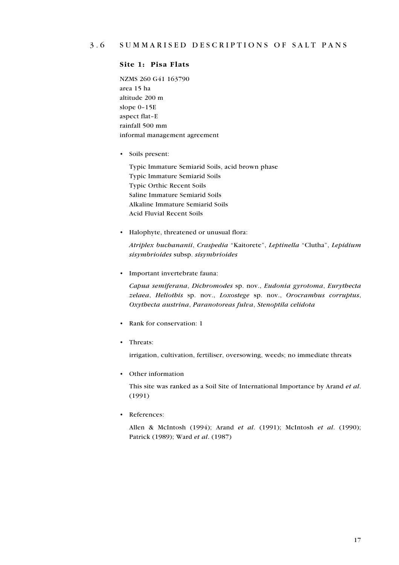#### **Site 1: Pisa Flats**

NZMS 260 G41 163790 area 15 ha altitude 200 m slope 0–15E aspect flat–E rainfall 500 mm informal management agreement

• Soils present:

Typic Immature Semiarid Soils, acid brown phase Typic Immature Semiarid Soils Typic Orthic Recent Soils Saline Immature Semiarid Soils Alkaline Immature Semiarid Soils Acid Fluvial Recent Soils

• Halophyte, threatened or unusual flora:

*Atriplex buchananii*, *Craspedia* "Kaitorete", *Leptinella* "Clutha", *Lepidium sisymbrioides* subsp. *sisymbrioides*

• Important invertebrate fauna:

*Capua semiferana*, *Dichromodes* sp. nov., *Eudonia gyrotoma*, *Eurythecta zelaea*, *Heliothis* sp. nov., *Loxostege* sp. nov., *Orocrambus corruptus*, *Oxythecta austrina*, *Paranotoreas fulva*, *Stenoptila celidota*

- Rank for conservation: 1
- Threats:

irrigation, cultivation, fertiliser, oversowing, weeds; no immediate threats

• Other information

This site was ranked as a Soil Site of International Importance by Arand *et al*. (1991)

• References:

Allen & McIntosh (1994); Arand *et al*. (1991); McIntosh *et al*. (1990); Patrick (1989); Ward *et al*. (1987)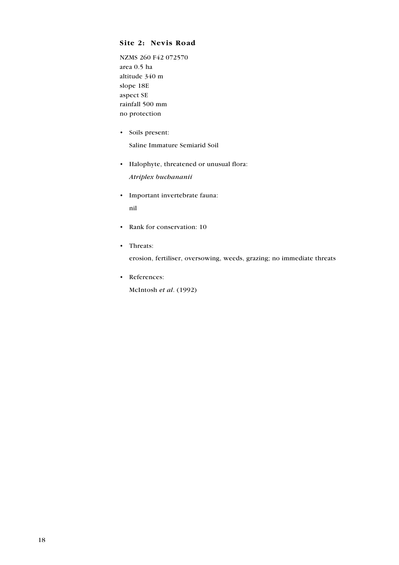#### **Site 2: Nevis Road**

NZMS 260 F42 072570 area 0.5 ha altitude 340 m slope 18E aspect SE rainfall 500 mm no protection

- Soils present: Saline Immature Semiarid Soil
- Halophyte, threatened or unusual flora: *Atriplex buchananii*
- Important invertebrate fauna: nil
- Rank for conservation: 10
- Threats:

erosion, fertiliser, oversowing, weeds, grazing; no immediate threats

• References: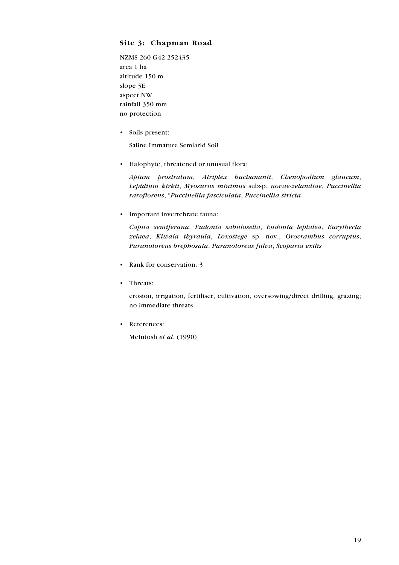#### **Site 3: Chapman Road**

NZMS 260 G42 252435 area 1 ha altitude 150 m slope 3E aspect NW rainfall 350 mm no protection

• Soils present:

Saline Immature Semiarid Soil

• Halophyte, threatened or unusual flora:

*Apium prostratum*, *Atriplex buchananii*, *Chenopodium glaucum*, *Lepidium kirkii*, *Myosurus minimus* subsp. *novae-zelandiae*, *Puccinellia raroflorens*, \**Puccinellia fasciculata*, *Puccinellia stricta*

• Important invertebrate fauna:

*Capua semiferana*, *Eudonia sabulosella*, *Eudonia leptalea*, *Eurythecta zelaea*, *Kiwaia thyraula*, *Loxostege* sp. nov., *Orocrambus corruptus*, *Paranotoreas brephosata*, *Paranotoreas fulva*, *Scoparia exilis*

- Rank for conservation: 3
- Threats:

erosion, irrigation, fertiliser, cultivation, oversowing/direct drilling, grazing; no immediate threats

• References: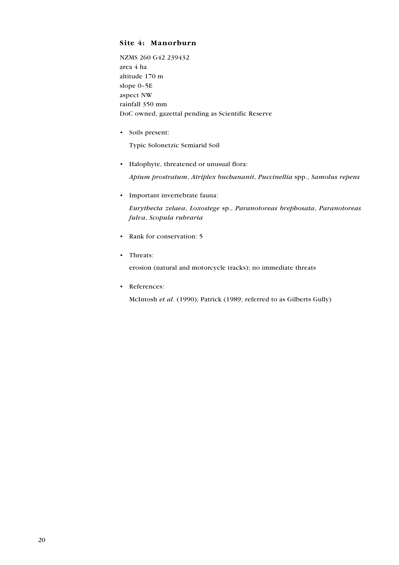#### **Site 4: Manorburn**

NZMS 260 G42 239432 area 4 ha altitude 170 m slope 0–5E aspect NW rainfall 350 mm DoC owned, gazettal pending as Scientific Reserve

• Soils present:

Typic Solonetzic Semiarid Soil

• Halophyte, threatened or unusual flora:

*Apium prostratum*, *Atriplex buchananii*, *Puccinellia* spp., *Samolus repens*

• Important invertebrate fauna:

*Eurythecta zelaea*, *Loxostege* sp., *Paranotoreas brephosata*, *Paranotoreas fulva*, *Scopula rubraria*

- Rank for conservation: 5
- Threats:

erosion (natural and motorcycle tracks); no immediate threats

• References:

McIntosh *et al*. (1990); Patrick (1989; referred to as Gilberts Gully)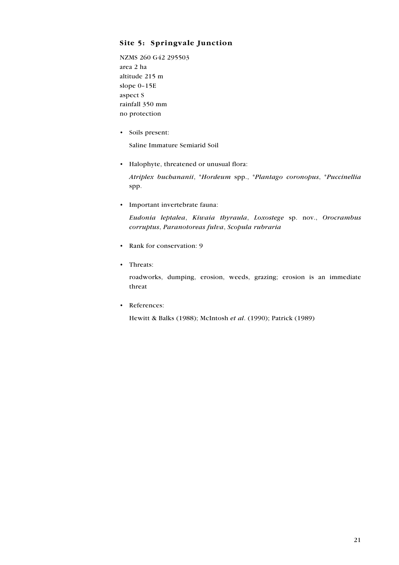#### **Site 5: Springvale Junction**

NZMS 260 G42 295503 area 2 ha altitude 215 m slope 0–15E aspect S rainfall 350 mm no protection

• Soils present:

Saline Immature Semiarid Soil

• Halophyte, threatened or unusual flora:

*Atriplex buchananii*, \**Hordeum* spp., \**Plantago coronopus*, \**Puccinellia* spp.

• Important invertebrate fauna:

*Eudonia leptalea*, *Kiwaia thyraula*, *Loxostege* sp. nov., *Orocrambus corruptus*, *Paranotoreas fulva*, *Scopula rubraria*

- Rank for conservation: 9
- Threats:

roadworks, dumping, erosion, weeds, grazing; erosion is an immediate threat

• References:

Hewitt & Balks (1988); McIntosh *et al*. (1990); Patrick (1989)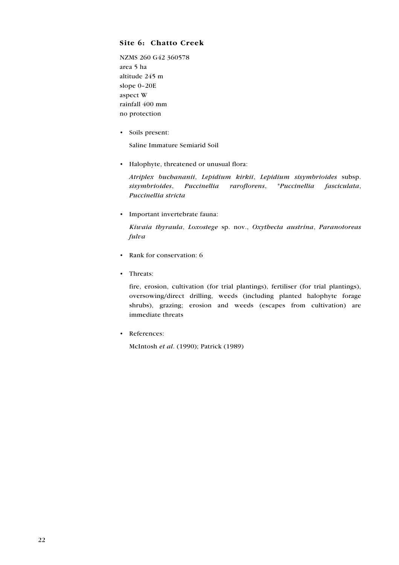#### **Site 6: Chatto Creek**

NZMS 260 G42 360578 area 5 ha altitude 245 m slope 0–20E aspect W rainfall 400 mm no protection

• Soils present:

Saline Immature Semiarid Soil

• Halophyte, threatened or unusual flora:

*Atriplex buchananii*, *Lepidium kirkii*, *Lepidium sisymbrioides* subsp. *sisymbrioides*, *Puccinellia raroflorens*, \**Puccinellia fasciculata*, *Puccinellia stricta*

• Important invertebrate fauna:

*Kiwaia thyraula*, *Loxostege* sp. nov., *Oxythecta austrina*, *Paranotoreas fulva*

- Rank for conservation: 6
- Threats:

fire, erosion, cultivation (for trial plantings), fertiliser (for trial plantings), oversowing/direct drilling, weeds (including planted halophyte forage shrubs), grazing; erosion and weeds (escapes from cultivation) are immediate threats

• References:

McIntosh *et al*. (1990); Patrick (1989)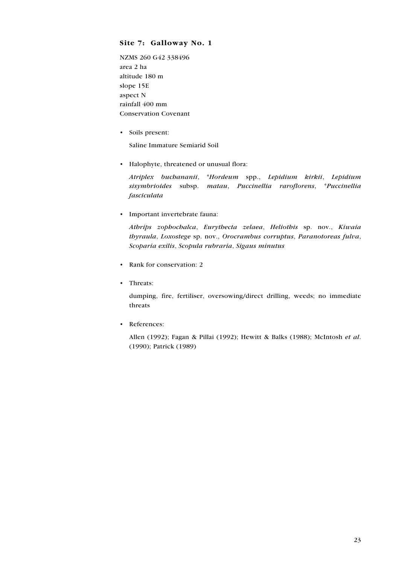#### **Site 7: Galloway No. 1**

NZMS 260 G42 338496 area 2 ha altitude 180 m slope 15E aspect N rainfall 400 mm Conservation Covenant

• Soils present:

Saline Immature Semiarid Soil

• Halophyte, threatened or unusual flora:

*Atriplex buchananii*, \**Hordeum* spp., *Lepidium kirkii*, *Lepidium sisymbrioides* subsp. *matau*, *Puccinellia raroflorens*, \**Puccinellia fasciculata*

• Important invertebrate fauna:

*Athrips zophochalca*, *Eurythecta zelaea*, *Heliothis* sp. nov., *Kiwaia thyraula*, *Loxostege* sp. nov., *Orocrambus corruptus*, *Paranotoreas fulva*, *Scoparia exilis*, *Scopula rubraria*, *Sigaus minutus*

- Rank for conservation: 2
- Threats:

dumping, fire, fertiliser, oversowing/direct drilling, weeds; no immediate threats

• References:

Allen (1992); Fagan & Pillai (1992); Hewitt & Balks (1988); McIntosh *et al*. (1990); Patrick (1989)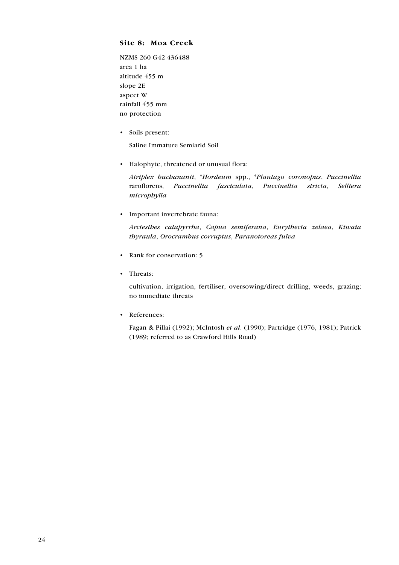#### **Site 8: Moa Creek**

NZMS 260 G42 436488 area 1 ha altitude 455 m slope 2E aspect W rainfall 455 mm no protection

• Soils present:

Saline Immature Semiarid Soil

• Halophyte, threatened or unusual flora:

*Atriplex buchananii*, \**Hordeum* spp., \**Plantago coronopus*, *Puccinellia* raroflorens, *Puccinellia fasciculata*, *Puccinellia stricta*, *Selliera microphylla*

• Important invertebrate fauna:

*Arctesthes catapyrrha*, *Capua semiferana*, *Eurythecta zelaea*, *Kiwaia thyraula*, *Orocrambus corruptus*, *Paranotoreas fulva*

- Rank for conservation: 5
- Threats:

cultivation, irrigation, fertiliser, oversowing/direct drilling, weeds, grazing; no immediate threats

• References:

Fagan & Pillai (1992); McIntosh *et al*. (1990); Partridge (1976, 1981); Patrick (1989; referred to as Crawford Hills Road)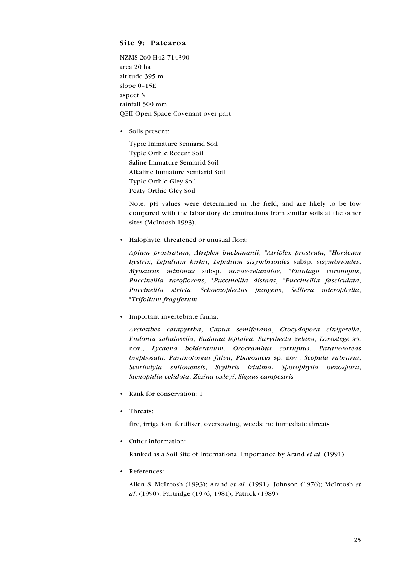#### **Site 9: Patearoa**

NZMS 260 H42 714390 area 20 ha altitude 395 m slope 0–15E aspect N rainfall 500 mm QEII Open Space Covenant over part

• Soils present:

Typic Immature Semiarid Soil Typic Orthic Recent Soil Saline Immature Semiarid Soil Alkaline Immature Semiarid Soil Typic Orthic Gley Soil Peaty Orthic Gley Soil

Note: pH values were determined in the field, and are likely to be low compared with the laboratory determinations from similar soils at the other sites (McIntosh 1993).

• Halophyte, threatened or unusual flora:

*Apium prostratum*, *Atriplex buchananii*, \**Atriplex prostrata*, \**Hordeum hystrix*, *Lepidium kirkii*, *Lepidium sisymbrioides* subsp. *sisymbrioides*, *Myosurus minimus* subsp. *novae-zelandiae*, \**Plantago coronopus*, *Puccinellia raroflorens*, \**Puccinellia distans*, \**Puccinellia fasciculata*, *Puccinellia stricta*, *Schoenoplectus pungens*, *Selliera microphylla*, \**Trifolium fragiferum*

• Important invertebrate fauna:

*Arctesthes catapyrrha*, *Capua semiferana*, *Crocydopora cinigerella*, *Eudonia sabulosella*, *Eudonia leptalea*, *Eurythecta zelaea*, *Loxostege* sp. nov., *Lycaena bolderanum*, *Orocrambus corruptus*, *Paranotoreas brephosata, Paranotoreas fulva*, *Phaeosaces* sp. nov., *Scopula rubraria*, *Scoriodyta suttonensis*, *Scythris triatma*, *Sporophylla oenospora*, *Stenoptilia celidota*, *Zizina oxleyi*, *Sigaus campestris*

- Rank for conservation: 1
- Threats:

fire, irrigation, fertiliser, oversowing, weeds; no immediate threats

• Other information:

Ranked as a Soil Site of International Importance by Arand *et al*. (1991)

• References:

Allen & McIntosh (1993); Arand *et al*. (1991); Johnson (1976); McIntosh *et al*. (1990); Partridge (1976, 1981); Patrick (1989)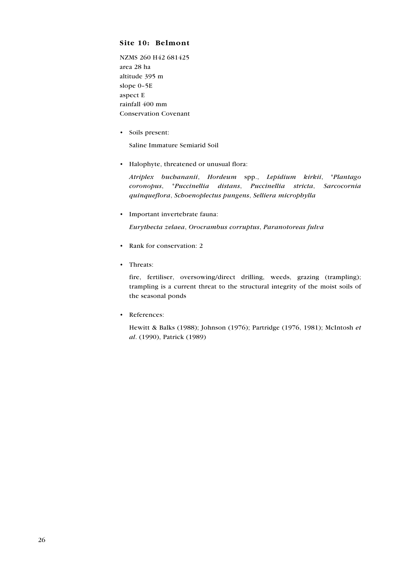#### **Site 10: Belmont**

NZMS 260 H42 681425 area 28 ha altitude 395 m slope 0–5E aspect E rainfall 400 mm Conservation Covenant

• Soils present:

Saline Immature Semiarid Soil

• Halophyte, threatened or unusual flora:

*Atriplex buchananii*, *Hordeum* spp., *Lepidium kirkii*, \**Plantago coronopus*, \**Puccinellia distans*, *Puccinellia stricta*, *Sarcocornia quinqueflora*, *Schoenoplectus pungens*, *Selliera microphylla*

• Important invertebrate fauna:

*Eurythecta zelaea*, *Orocrambus corruptus*, *Paranotoreas fulva*

- Rank for conservation: 2
- Threats:

fire, fertiliser, oversowing/direct drilling, weeds, grazing (trampling); trampling is a current threat to the structural integrity of the moist soils of the seasonal ponds

• References:

Hewitt & Balks (1988); Johnson (1976); Partridge (1976, 1981); McIntosh *et al*. (1990), Patrick (1989)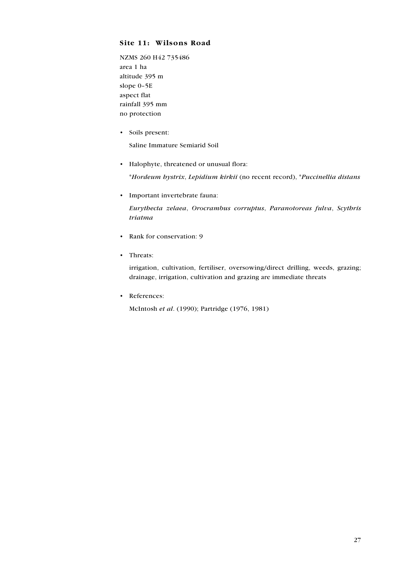#### **Site 11: Wilsons Road**

NZMS 260 H42 735486 area 1 ha altitude 395 m slope 0–5E aspect flat rainfall 395 mm no protection

• Soils present:

Saline Immature Semiarid Soil

• Halophyte, threatened or unusual flora:

\**Hordeum hystrix*, *Lepidium kirkii* (no recent record), \**Puccinellia distans*

• Important invertebrate fauna:

*Eurythecta zelaea*, *Orocrambus corruptus*, *Paranotoreas fulva*, *Scythris triatma*

- Rank for conservation: 9
- Threats:

irrigation, cultivation, fertiliser, oversowing/direct drilling, weeds, grazing; drainage, irrigation, cultivation and grazing are immediate threats

• References:

McIntosh *et al*. (1990); Partridge (1976, 1981)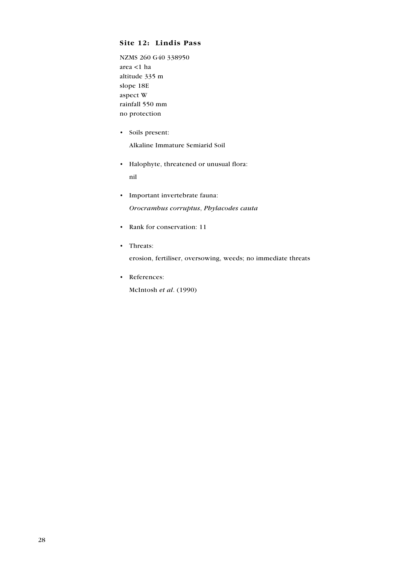#### **Site 12: Lindis Pass**

NZMS 260 G40 338950 area <1 ha altitude 335 m slope 18E aspect W rainfall 550 mm no protection

- Soils present: Alkaline Immature Semiarid Soil
- Halophyte, threatened or unusual flora: nil
- Important invertebrate fauna: *Orocrambus corruptus*, *Phylacodes cauta*
- Rank for conservation: 11
- Threats:

erosion, fertiliser, oversowing, weeds; no immediate threats

• References: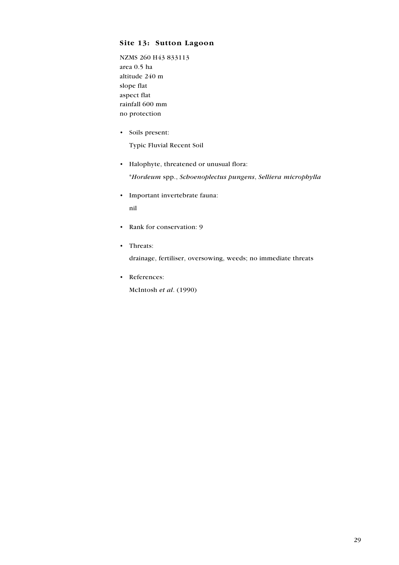#### **Site 13: Sutton Lagoon**

NZMS 260 H43 833113 area 0.5 ha altitude 240 m slope flat aspect flat rainfall 600 mm no protection

• Soils present:

Typic Fluvial Recent Soil

• Halophyte, threatened or unusual flora:

\**Hordeum* spp., *Schoenoplectus pungens*, *Selliera microphylla*

- Important invertebrate fauna: nil
- Rank for conservation: 9
- Threats:

drainage, fertiliser, oversowing, weeds; no immediate threats

• References: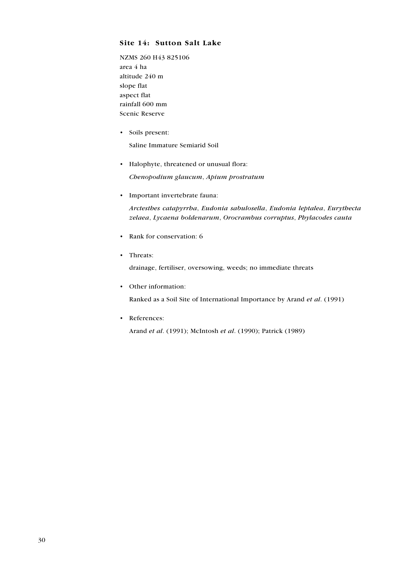#### **Site 14: Sutton Salt Lake**

NZMS 260 H43 825106 area 4 ha altitude 240 m slope flat aspect flat rainfall 600 mm Scenic Reserve

• Soils present:

Saline Immature Semiarid Soil

• Halophyte, threatened or unusual flora:

*Chenopodium glaucum*, *Apium prostratum*

• Important invertebrate fauna:

*Arctesthes catapyrrha*, *Eudonia sabulosella*, *Eudonia leptalea*, *Eurythecta zelaea*, *Lycaena boldenarum*, *Orocrambus corruptus*, *Phylacodes cauta*

- Rank for conservation: 6
- Threats:

drainage, fertiliser, oversowing, weeds; no immediate threats

• Other information:

Ranked as a Soil Site of International Importance by Arand *et al*. (1991)

• References:

Arand *et al*. (1991); McIntosh *et al*. (1990); Patrick (1989)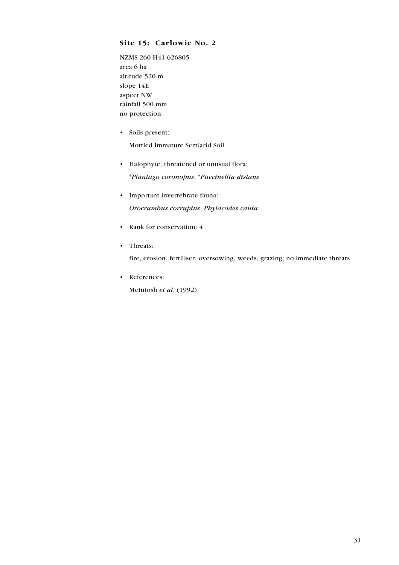#### **Site 15: Carlowie No. 2**

NZMS 260 H41 626805 area 6 ha altitude 520 m slope 14E aspect NW rainfall 500 mm no protection

- Soils present: Mottled Immature Semiarid Soil
- Halophyte, threatened or unusual flora: \**Plantago coronopus*, \**Puccinellia distans*
- Important invertebrate fauna: *Orocrambus corruptus*, *Phylacodes cauta*
- Rank for conservation: 4
- Threats:

fire, erosion, fertiliser, oversowing, weeds, grazing; no immediate threats

• References: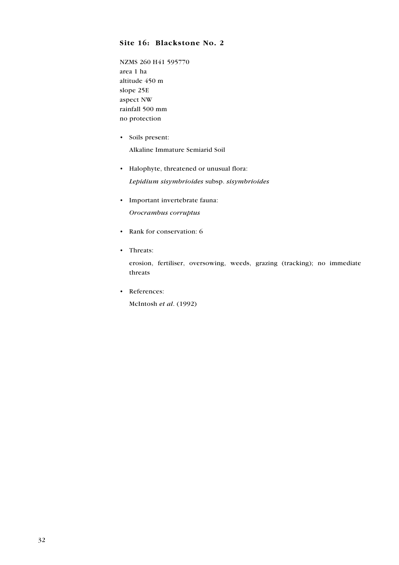#### **Site 16: Blackstone No. 2**

NZMS 260 H41 595770 area 1 ha altitude 450 m slope 25E aspect NW rainfall 500 mm no protection

- Soils present: Alkaline Immature Semiarid Soil
- Halophyte, threatened or unusual flora: *Lepidium sisymbrioides* subsp. *sisymbrioides*
- Important invertebrate fauna: *Orocrambus corruptus*
- Rank for conservation: 6
- Threats:

erosion, fertiliser, oversowing, weeds, grazing (tracking); no immediate threats

• References: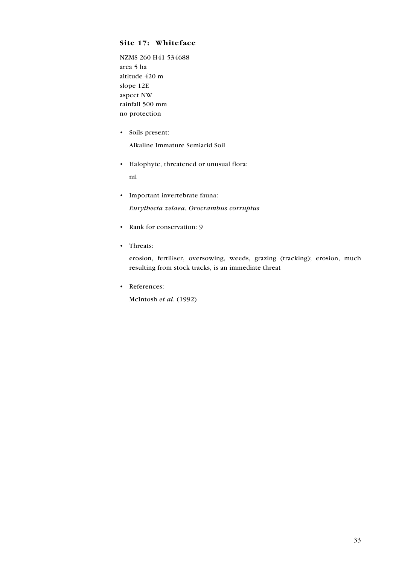#### **Site 17: Whiteface**

NZMS 260 H41 534688 area 5 ha altitude 420 m slope 12E aspect NW rainfall 500 mm no protection

- Soils present: Alkaline Immature Semiarid Soil
- Halophyte, threatened or unusual flora: nil
- Important invertebrate fauna: *Eurythecta zelaea*, *Orocrambus corruptus*
- Rank for conservation: 9
- Threats:

erosion, fertiliser, oversowing, weeds, grazing (tracking); erosion, much resulting from stock tracks, is an immediate threat

• References: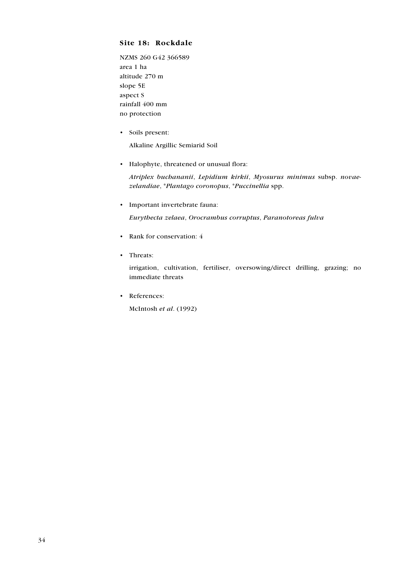#### **Site 18: Rockdale**

NZMS 260 G42 366589 area 1 ha altitude 270 m slope 5E aspect S rainfall 400 mm no protection

• Soils present:

Alkaline Argillic Semiarid Soil

• Halophyte, threatened or unusual flora:

*Atriplex buchananii*, *Lepidium kirkii*, *Myosurus minimus* subsp. *novaezelandiae*, \**Plantago coronopus*, \**Puccinellia* spp.

• Important invertebrate fauna:

*Eurythecta zelaea*, *Orocrambus corruptus*, *Paranotoreas fulva*

- Rank for conservation: 4
- Threats:

irrigation, cultivation, fertiliser, oversowing/direct drilling, grazing; no immediate threats

• References: McIntosh *et al*. (1992)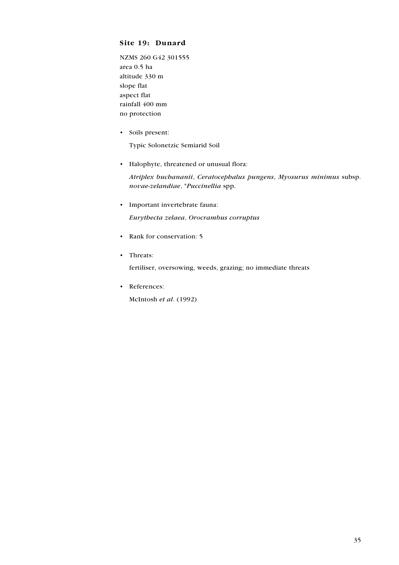#### **Site 19: Dunard**

NZMS 260 G42 301555 area 0.5 ha altitude 330 m slope flat aspect flat rainfall 400 mm no protection

• Soils present:

Typic Solonetzic Semiarid Soil

• Halophyte, threatened or unusual flora:

*Atriplex buchananii*, *Ceratocephalus pungens*, *Myosurus minimus* subsp. *novae-zelandiae*, \**Puccinellia* spp.

- Important invertebrate fauna: *Eurythecta zelaea*, *Orocrambus corruptus*
- Rank for conservation: 5
- Threats:

fertiliser, oversowing, weeds, grazing; no immediate threats

• References: McIntosh *et al*. (1992)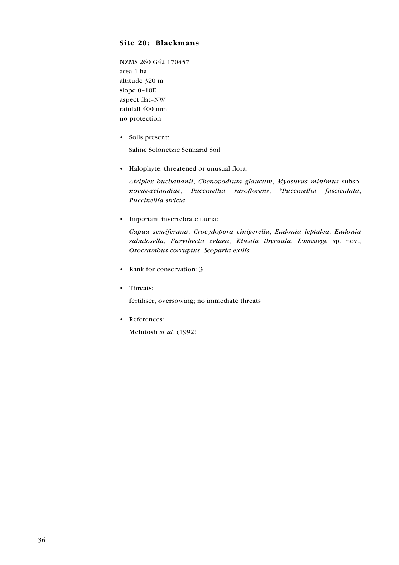#### **Site 20: Blackmans**

NZMS 260 G42 170457 area 1 ha altitude 320 m slope 0–10E aspect flat–NW rainfall 400 mm no protection

• Soils present:

Saline Solonetzic Semiarid Soil

• Halophyte, threatened or unusual flora:

*Atriplex buchananii*, *Chenopodium glaucum*, *Myosurus minimus* subsp. *novae-zelandiae*, *Puccinellia raroflorens*, \**Puccinellia fasciculata*, *Puccinellia stricta*

• Important invertebrate fauna:

*Capua semiferana*, *Crocydopora cinigerella*, *Eudonia leptalea*, *Eudonia sabulosella*, *Eurythecta zelaea*, *Kiwaia thyraula*, *Loxostege* sp. nov., *Orocrambus corruptus*, *Scoparia exilis*

- Rank for conservation: 3
- Threats:

fertiliser, oversowing; no immediate threats

• References: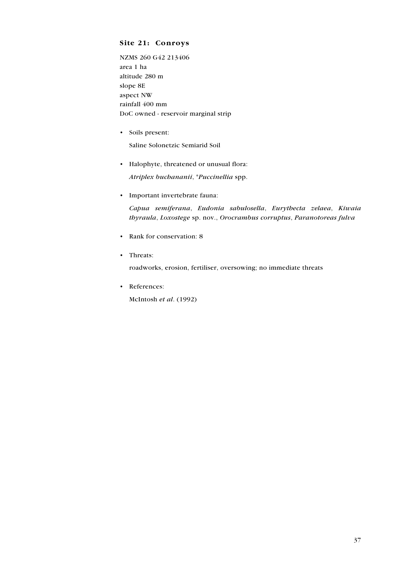#### **Site 21: Conroys**

NZMS 260 G42 213406 area 1 ha altitude 280 m slope 8E aspect NW rainfall 400 mm DoC owned - reservoir marginal strip

• Soils present:

Saline Solonetzic Semiarid Soil

• Halophyte, threatened or unusual flora:

*Atriplex buchananii*, \**Puccinellia* spp.

• Important invertebrate fauna:

*Capua semiferana*, *Eudonia sabulosella*, *Eurythecta zelaea*, *Kiwaia thyraula*, *Loxostege* sp. nov., *Orocrambus corruptus*, *Paranotoreas fulva*

- Rank for conservation: 8
- Threats:

roadworks, erosion, fertiliser, oversowing; no immediate threats

• References: McIntosh *et al*. (1992)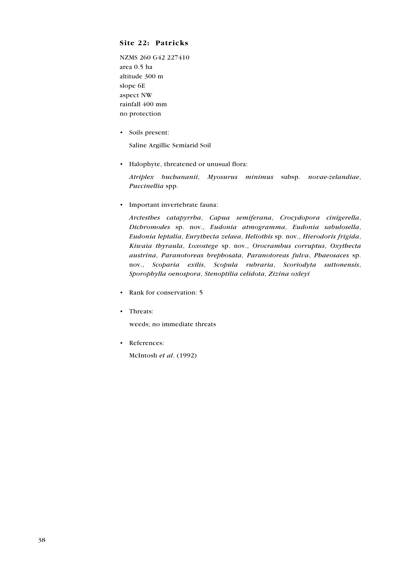#### **Site 22: Patricks**

NZMS 260 G42 227410 area 0.5 ha altitude 300 m slope 6E aspect NW rainfall 400 mm no protection

• Soils present:

Saline Argillic Semiarid Soil

• Halophyte, threatened or unusual flora:

*Atriplex buchananii*, *Myosurus minimus* subsp. *novae-zelandiae*, *Puccinellia* spp.

• Important invertebrate fauna:

*Arctesthes catapyrrha*, *Capua semiferana*, *Crocydopora cinigerella*, *Dichromodes* sp. nov., *Eudonia atmogramma*, *Eudonia sabulosella*, *Eudonia leptalia*, *Eurythecta zelaea*, *Heliothis* sp. nov., *Hierodoris frigida*, *Kiwaia thyraula*, *Loxostege* sp. nov., *Orocrambus corruptus*, *Oxythecta austrina*, *Paranotoreas brephosata*, *Paranotoreas fulva*, *Phaeosaces* sp. nov., *Scoparia exilis*, *Scopula rubraria*, *Scoriodyta suttonensis*, *Sporophylla oenospora*, *Stenoptilia celidota*, *Zizina oxleyi*

- Rank for conservation: 5
- Threats:

weeds; no immediate threats

• References: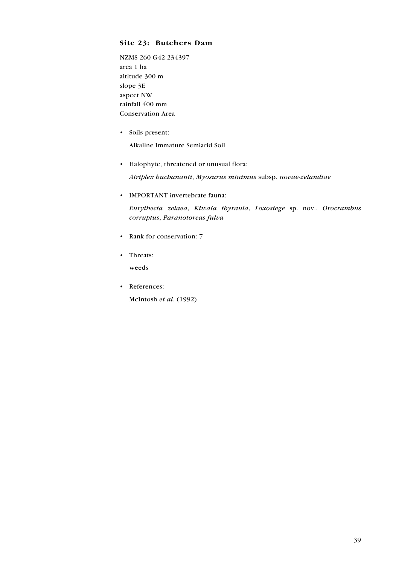#### **Site 23: Butchers Dam**

NZMS 260 G42 234397 area 1 ha altitude 300 m slope 3E aspect NW rainfall 400 mm Conservation Area

• Soils present:

Alkaline Immature Semiarid Soil

• Halophyte, threatened or unusual flora:

*Atriplex buchananii*, *Myosurus minimus* subsp. *novae-zelandiae*

• IMPORTANT invertebrate fauna:

*Eurythecta zelaea*, *Kiwaia thyraula*, *Loxostege* sp. nov., *Orocrambus corruptus*, *Paranotoreas fulva*

- Rank for conservation: 7
- Threats:

weeds

• References: McIntosh *et al*. (1992)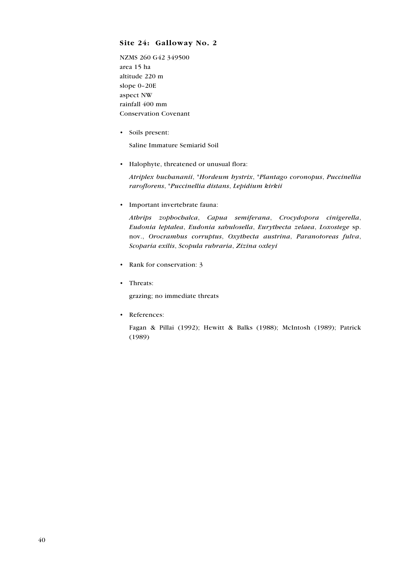#### **Site 24: Galloway No. 2**

NZMS 260 G42 349500 area 15 ha altitude 220 m slope 0–20E aspect NW rainfall 400 mm Conservation Covenant

• Soils present:

Saline Immature Semiarid Soil

• Halophyte, threatened or unusual flora:

*Atriplex buchananii*, \**Hordeum hystrix*, \**Plantago coronopus*, *Puccinellia raroflorens*, \**Puccinellia distans*, *Lepidium kirkii*

• Important invertebrate fauna:

*Athrips zophochalca*, *Capua semiferana*, *Crocydopora cinigerella*, *Eudonia leptalea*, *Eudonia sabulosella*, *Eurythecta zelaea*, *Loxostege* sp. nov., *Orocrambus corruptus*, *Oxythecta austrina*, *Paranotoreas fulva*, *Scoparia exilis*, *Scopula rubraria*, *Zizina oxleyi*

- Rank for conservation: 3
- Threats:

grazing; no immediate threats

• References:

Fagan & Pillai (1992); Hewitt & Balks (1988); McIntosh (1989); Patrick (1989)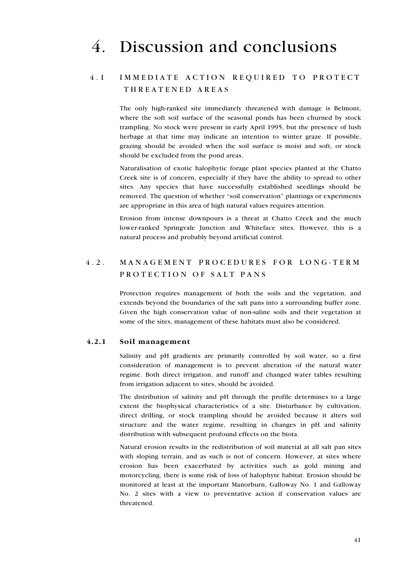# 4. Discussion and conclusions

### 4.1 IMMEDIATE ACTION REQUIRED TO PROTECT T H R E A T E N E D A R E A S

The only high-ranked site immediately threatened with damage is Belmont, where the soft soil surface of the seasonal ponds has been churned by stock trampling. No stock were present in early April 1995, but the presence of lush herbage at that time may indicate an intention to winter graze. If possible, grazing should be avoided when the soil surface is moist and soft, or stock should be excluded from the pond areas.

Naturalisation of exotic halophytic forage plant species planted at the Chatto Creek site is of concern, especially if they have the ability to spread to other sites. Any species that have successfully established seedlings should be removed. The question of whether "soil conservation" plantings or experiments are appropriate in this area of high natural values requires attention.

Erosion from intense downpours is a threat at Chatto Creek and the much lower-ranked Springvale Junction and Whiteface sites. However, this is a natural process and probably beyond artificial control.

### 4.2. MANAGEMENT PROCEDURES FOR LONG-TERM PROTECTION OF SALT PANS

Protection requires management of both the soils and the vegetation, and extends beyond the boundaries of the salt pans into a surrounding buffer zone. Given the high conservation value of non-saline soils and their vegetation at some of the sites, management of these habitats must also be considered.

#### **4.2.1 Soil management**

Salinity and pH gradients are primarily controlled by soil water, so a first consideration of management is to prevent alteration of the natural water regime. Both direct irrigation, and runoff and changed water tables resulting from irrigation adjacent to sites, should be avoided.

The distribution of salinity and pH through the profile determines to a large extent the biophysical characteristics of a site. Disturbance by cultivation, direct drilling, or stock trampling should be avoided because it alters soil structure and the water regime, resulting in changes in pH and salinity distribution with subsequent profound effects on the biota.

Natural erosion results in the redistribution of soil material at all salt pan sites with sloping terrain, and as such is not of concern. However, at sites where erosion has been exacerbated by activities such as gold mining and motorcycling, there is some risk of loss of halophyte habitat. Erosion should be monitored at least at the important Manorburn, Galloway No. 1 and Galloway No. 2 sites with a view to preventative action if conservation values are threatened.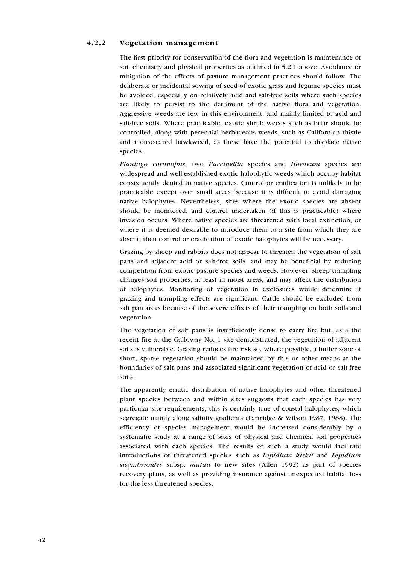#### **4.2.2 Vegetation management**

The first priority for conservation of the flora and vegetation is maintenance of soil chemistry and physical properties as outlined in 5.2.1 above. Avoidance or mitigation of the effects of pasture management practices should follow. The deliberate or incidental sowing of seed of exotic grass and legume species must be avoided, especially on relatively acid and salt-free soils where such species are likely to persist to the detriment of the native flora and vegetation. Aggressive weeds are few in this environment, and mainly limited to acid and salt-free soils. Where practicable, exotic shrub weeds such as briar should be controlled, along with perennial herbaceous weeds, such as Californian thistle and mouse-eared hawkweed, as these have the potential to displace native species.

*Plantago coronopus*, two *Puccinellia* species and *Hordeum* species are widespread and well-established exotic halophytic weeds which occupy habitat consequently denied to native species. Control or eradication is unlikely to be practicable except over small areas because it is difficult to avoid damaging native halophytes. Nevertheless, sites where the exotic species are absent should be monitored, and control undertaken (if this is practicable) where invasion occurs. Where native species are threatened with local extinction, or where it is deemed desirable to introduce them to a site from which they are absent, then control or eradication of exotic halophytes will be necessary.

Grazing by sheep and rabbits does not appear to threaten the vegetation of salt pans and adjacent acid or salt-free soils, and may be beneficial by reducing competition from exotic pasture species and weeds. However, sheep trampling changes soil properties, at least in moist areas, and may affect the distribution of halophytes. Monitoring of vegetation in exclosures would determine if grazing and trampling effects are significant. Cattle should be excluded from salt pan areas because of the severe effects of their trampling on both soils and vegetation.

The vegetation of salt pans is insufficiently dense to carry fire but, as a the recent fire at the Galloway No. 1 site demonstrated, the vegetation of adjacent soils is vulnerable. Grazing reduces fire risk so, where possible, a buffer zone of short, sparse vegetation should be maintained by this or other means at the boundaries of salt pans and associated significant vegetation of acid or salt-free soils.

The apparently erratic distribution of native halophytes and other threatened plant species between and within sites suggests that each species has very particular site requirements; this is certainly true of coastal halophytes, which segregate mainly along salinity gradients (Partridge & Wilson 1987, 1988). The efficiency of species management would be increased considerably by a systematic study at a range of sites of physical and chemical soil properties associated with each species. The results of such a study would facilitate introductions of threatened species such as *Lepidium kirkii* and *Lepidium sisymbrioides* subsp. *matau* to new sites (Allen 1992) as part of species recovery plans, as well as providing insurance against unexpected habitat loss for the less threatened species.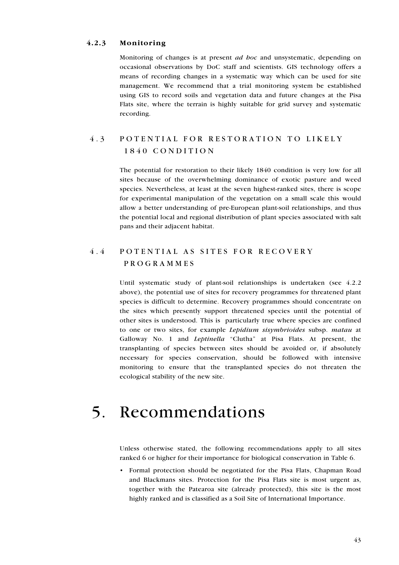#### **4.2.3 Monitoring**

Monitoring of changes is at present *ad hoc* and unsystematic, depending on occasional observations by DoC staff and scientists. GIS technology offers a means of recording changes in a systematic way which can be used for site management. We recommend that a trial monitoring system be established using GIS to record soils and vegetation data and future changes at the Pisa Flats site, where the terrain is highly suitable for grid survey and systematic recording.

### 4.3 POTENTIAL FOR RESTORATION TO LIKELY 1 8 4 0 C O N D I T I O N

The potential for restoration to their likely 1840 condition is very low for all sites because of the overwhelming dominance of exotic pasture and weed species. Nevertheless, at least at the seven highest-ranked sites, there is scope for experimental manipulation of the vegetation on a small scale this would allow a better understanding of pre-European plant-soil relationships, and thus the potential local and regional distribution of plant species associated with salt pans and their adjacent habitat.

### 4.4 POTENTIAL AS SITES FOR RECOVERY P R O G R A M M E S

Until systematic study of plant-soil relationships is undertaken (see 4.2.2 above), the potential use of sites for recovery programmes for threatened plant species is difficult to determine. Recovery programmes should concentrate on the sites which presently support threatened species until the potential of other sites is understood. This is particularly true where species are confined to one or two sites, for example *Lepidium sisymbrioides* subsp. *matau* at Galloway No. 1 and *Leptinella* "Clutha" at Pisa Flats. At present, the transplanting of species between sites should be avoided or, if absolutely necessary for species conservation, should be followed with intensive monitoring to ensure that the transplanted species do not threaten the ecological stability of the new site.

## 5. Recommendations

Unless otherwise stated, the following recommendations apply to all sites ranked 6 or higher for their importance for biological conservation in Table 6.

• Formal protection should be negotiated for the Pisa Flats, Chapman Road and Blackmans sites. Protection for the Pisa Flats site is most urgent as, together with the Patearoa site (already protected), this site is the most highly ranked and is classified as a Soil Site of International Importance.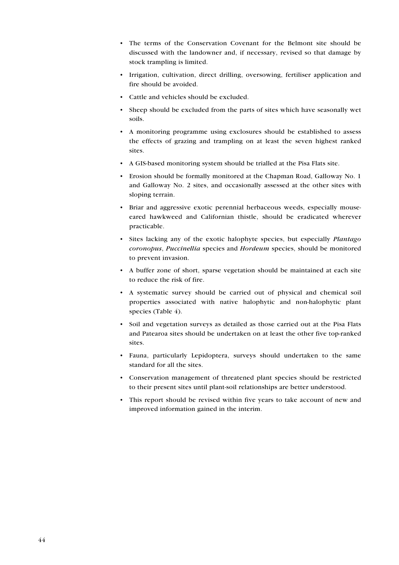- The terms of the Conservation Covenant for the Belmont site should be discussed with the landowner and, if necessary, revised so that damage by stock trampling is limited.
- Irrigation, cultivation, direct drilling, oversowing, fertiliser application and fire should be avoided.
- Cattle and vehicles should be excluded.
- Sheep should be excluded from the parts of sites which have seasonally wet soils.
- A monitoring programme using exclosures should be established to assess the effects of grazing and trampling on at least the seven highest ranked sites.
- A GIS-based monitoring system should be trialled at the Pisa Flats site.
- Erosion should be formally monitored at the Chapman Road, Galloway No. 1 and Galloway No. 2 sites, and occasionally assessed at the other sites with sloping terrain.
- Briar and aggressive exotic perennial herbaceous weeds, especially mouseeared hawkweed and Californian thistle, should be eradicated wherever practicable.
- Sites lacking any of the exotic halophyte species, but especially *Plantago coronopus*, *Puccinellia* species and *Hordeum* species, should be monitored to prevent invasion.
- A buffer zone of short, sparse vegetation should be maintained at each site to reduce the risk of fire.
- A systematic survey should be carried out of physical and chemical soil properties associated with native halophytic and non-halophytic plant species (Table 4).
- Soil and vegetation surveys as detailed as those carried out at the Pisa Flats and Patearoa sites should be undertaken on at least the other five top-ranked sites.
- Fauna, particularly Lepidoptera, surveys should undertaken to the same standard for all the sites.
- Conservation management of threatened plant species should be restricted to their present sites until plant-soil relationships are better understood.
- This report should be revised within five years to take account of new and improved information gained in the interim.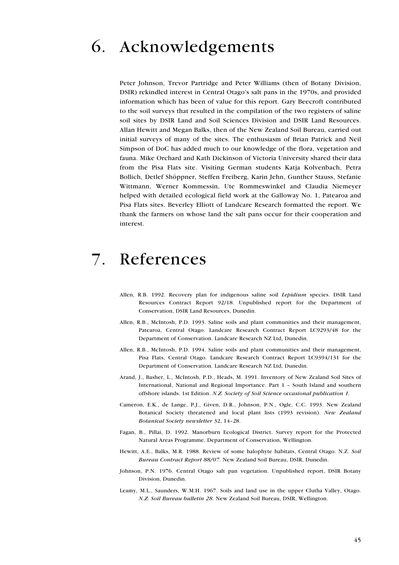# 6. Acknowledgements

Peter Johnson, Trevor Partridge and Peter Williams (then of Botany Division, DSIR) rekindled interest in Central Otago's salt pans in the 1970s, and provided information which has been of value for this report. Gary Beecroft contributed to the soil surveys that resulted in the compilation of the two registers of saline soil sites by DSIR Land and Soil Sciences Division and DSIR Land Resources. Allan Hewitt and Megan Balks, then of the New Zealand Soil Bureau, carried out initial surveys of many of the sites. The enthusiasm of Brian Patrick and Neil Simpson of DoC has added much to our knowledge of the flora, vegetation and fauna. Mike Orchard and Kath Dickinson of Victoria University shared their data from the Pisa Flats site. Visiting German students Katja Kolvenbach, Petra Bollich, Detlef Shöppner, Steffen Freiberg, Karin Jehn, Gunther Stauss, Stefanie Wittmann, Werner Kommessin, Ute Rommeswinkel and Claudia Niemeyer helped with detailed ecological field work at the Galloway No. 1, Patearoa and Pisa Flats sites. Beverley Elliott of Landcare Research formatted the report. We thank the farmers on whose land the salt pans occur for their cooperation and interest.

## 7. References

- Allen, R.B. 1992. Recovery plan for indigenous saline soil *Lepidium* species. DSIR Land Resources Contract Report 92/18. Unpublished report for the Department of Conservation, DSIR Land Resources, Dunedin.
- Allen, R.B., McIntosh, P.D. 1993. Saline soils and plant communities and their management, Patearoa, Central Otago. Landcare Research Contract Report LC9293/48 for the Department of Conservation. Landcare Research NZ Ltd, Dunedin.
- Allen, R.B., McIntosh, P.D. 1994. Saline soils and plant communities and their management, Pisa Flats, Central Otago. Landcare Research Contract Report LC9394/131 for the Department of Conservation. Landcare Research NZ Ltd, Dunedin.
- Arand, J., Basher, L., McIntosh, P.D., Heads, M. 1991. Inventory of New Zealand Soil Sites of International, National and Regional Importance. Part 1 – South Island and southern offshore islands. 1st Edition. *N.Z. Society of Soil Science occasional publication 1.*
- Cameron, E.K., de Lange, P.J., Given, D.R., Johnson, P.N., Ogle, C.C. 1993. New Zealand Botanical Society threatened and local plant lists (1993 revision). *New Zealand Botanical Society newsletter* 32, 14–28.
- Fagan, B., Pillai, D. 1992. Manorburn Ecological District. Survey report for the Protected Natural Areas Programme. Department of Conservation, Wellington.
- Hewitt, A.E., Balks, M.R. 1988. Review of some halophyte habitats, Central Otago. N.Z. *Soil Bureau Contract Report 88/07*. New Zealand Soil Bureau, DSIR, Dunedin.
- Johnson, P.N. 1976. Central Otago salt pan vegetation. Unpublished report, DSIR Botany Division, Dunedin.
- Leamy, M.L., Saunders, W.M.H. 1967. Soils and land use in the upper Clutha Valley, Otago. *N.Z. Soil Bureau bulletin 28*. New Zealand Soil Bureau, DSIR, Wellington.